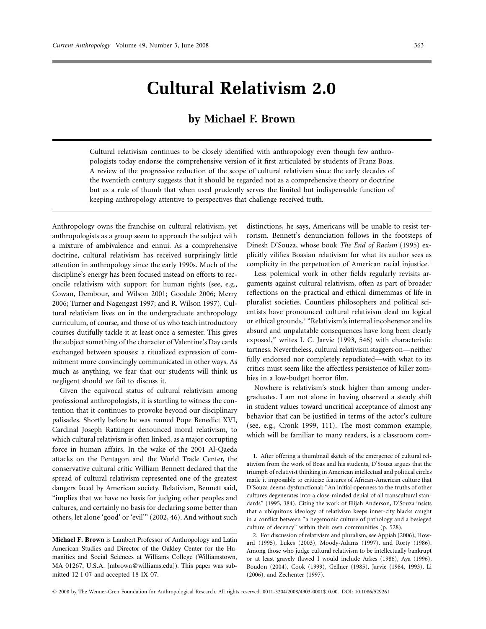# **Cultural Relativism 2.0**

# **by Michael F. Brown**

Cultural relativism continues to be closely identified with anthropology even though few anthropologists today endorse the comprehensive version of it first articulated by students of Franz Boas. A review of the progressive reduction of the scope of cultural relativism since the early decades of the twentieth century suggests that it should be regarded not as a comprehensive theory or doctrine but as a rule of thumb that when used prudently serves the limited but indispensable function of keeping anthropology attentive to perspectives that challenge received truth.

Anthropology owns the franchise on cultural relativism, yet anthropologists as a group seem to approach the subject with a mixture of ambivalence and ennui. As a comprehensive doctrine, cultural relativism has received surprisingly little attention in anthropology since the early 1990s. Much of the discipline's energy has been focused instead on efforts to reconcile relativism with support for human rights (see, e.g., Cowan, Dembour, and Wilson 2001; Goodale 2006; Merry 2006; Turner and Nagengast 1997; and R. Wilson 1997). Cultural relativism lives on in the undergraduate anthropology curriculum, of course, and those of us who teach introductory courses dutifully tackle it at least once a semester. This gives the subject something of the character of Valentine's Day cards exchanged between spouses: a ritualized expression of commitment more convincingly communicated in other ways. As much as anything, we fear that our students will think us negligent should we fail to discuss it.

Given the equivocal status of cultural relativism among professional anthropologists, it is startling to witness the contention that it continues to provoke beyond our disciplinary palisades. Shortly before he was named Pope Benedict XVI, Cardinal Joseph Ratzinger denounced moral relativism, to which cultural relativism is often linked, as a major corrupting force in human affairs. In the wake of the 2001 Al-Qaeda attacks on the Pentagon and the World Trade Center, the conservative cultural critic William Bennett declared that the spread of cultural relativism represented one of the greatest dangers faced by American society. Relativism, Bennett said, "implies that we have no basis for judging other peoples and cultures, and certainly no basis for declaring some better than others, let alone 'good' or 'evil'" (2002, 46). And without such

**Michael F. Brown** is Lambert Professor of Anthropology and Latin American Studies and Director of the Oakley Center for the Humanities and Social Sciences at Williams College (Williamstown, MA 01267, U.S.A. [mbrown@williams.edu]). This paper was submitted 12 I 07 and accepted 18 IX 07.

distinctions, he says, Americans will be unable to resist terrorism. Bennett's denunciation follows in the footsteps of Dinesh D'Souza, whose book *The End of Racism* (1995) explicitly vilifies Boasian relativism for what its author sees as complicity in the perpetuation of American racial injustice.<sup>1</sup>

Less polemical work in other fields regularly revisits arguments against cultural relativism, often as part of broader reflections on the practical and ethical dimemmas of life in pluralist societies. Countless philosophers and political scientists have pronounced cultural relativism dead on logical or ethical grounds.<sup>2</sup> "Relativism's internal incoherence and its absurd and unpalatable consequences have long been clearly exposed," writes I. C. Jarvie (1993, 546) with characteristic tartness. Nevertheless, cultural relativism staggers on—neither fully endorsed nor completely repudiated—with what to its critics must seem like the affectless persistence of killer zombies in a low-budget horror film.

Nowhere is relativism's stock higher than among undergraduates. I am not alone in having observed a steady shift in student values toward uncritical acceptance of almost any behavior that can be justified in terms of the actor's culture (see, e.g., Cronk 1999, 111). The most common example, which will be familiar to many readers, is a classroom com-

1. After offering a thumbnail sketch of the emergence of cultural relativism from the work of Boas and his students, D'Souza argues that the triumph of relativist thinking in American intellectual and political circles made it impossible to criticize features of African-American culture that D'Souza deems dysfunctional: "An initial openness to the truths of other cultures degenerates into a close-minded denial of all transcultural standards" (1995, 384). Citing the work of Elijah Anderson, D'Souza insists that a ubiquitous ideology of relativism keeps inner-city blacks caught in a conflict between "a hegemonic culture of pathology and a besieged culture of decency" within their own communities (p. 528).

2. For discussion of relativism and pluralism, see Appiah (2006), Howard (1995), Lukes (2003), Moody-Adams (1997), and Rorty (1986). Among those who judge cultural relativism to be intellectually bankrupt or at least gravely flawed I would include Arkes (1986), Aya (1996), Boudon (2004), Cook (1999), Gellner (1985), Jarvie (1984, 1993), Li (2006), and Zechenter (1997).

2008 by The Wenner-Gren Foundation for Anthropological Research. All rights reserved. 0011-3204/2008/4903-0001\$10.00. DOI: 10.1086/529261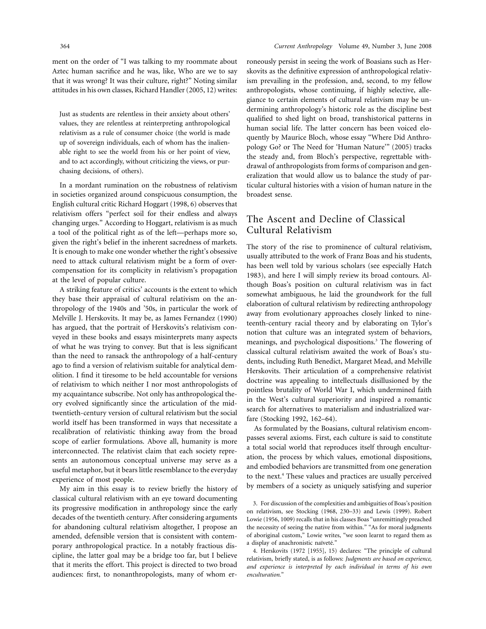Just as students are relentless in their anxiety about others' values, they are relentless at reinterpreting anthropological relativism as a rule of consumer choice (the world is made up of sovereign individuals, each of whom has the inalienable right to see the world from his or her point of view, and to act accordingly, without criticizing the views, or purchasing decisions, of others).

attitudes in his own classes, Richard Handler (2005, 12) writes:

In a mordant rumination on the robustness of relativism in societies organized around conspicuous consumption, the English cultural critic Richard Hoggart (1998, 6) observes that relativism offers "perfect soil for their endless and always changing urges." According to Hoggart, relativism is as much a tool of the political right as of the left—perhaps more so, given the right's belief in the inherent sacredness of markets. It is enough to make one wonder whether the right's obsessive need to attack cultural relativism might be a form of overcompensation for its complicity in relativism's propagation at the level of popular culture.

A striking feature of critics' accounts is the extent to which they base their appraisal of cultural relativism on the anthropology of the 1940s and '50s, in particular the work of Melville J. Herskovits. It may be, as James Fernandez (1990) has argued, that the portrait of Herskovits's relativism conveyed in these books and essays misinterprets many aspects of what he was trying to convey. But that is less significant than the need to ransack the anthropology of a half-century ago to find a version of relativism suitable for analytical demolition. I find it tiresome to be held accountable for versions of relativism to which neither I nor most anthropologists of my acquaintance subscribe. Not only has anthropological theory evolved significantly since the articulation of the midtwentieth-century version of cultural relativism but the social world itself has been transformed in ways that necessitate a recalibration of relativistic thinking away from the broad scope of earlier formulations. Above all, humanity is more interconnected. The relativist claim that each society represents an autonomous conceptual universe may serve as a useful metaphor, but it bears little resemblance to the everyday experience of most people.

My aim in this essay is to review briefly the history of classical cultural relativism with an eye toward documenting its progressive modification in anthropology since the early decades of the twentieth century. After considering arguments for abandoning cultural relativism altogether, I propose an amended, defensible version that is consistent with contemporary anthropological practice. In a notably fractious discipline, the latter goal may be a bridge too far, but I believe that it merits the effort. This project is directed to two broad audiences: first, to nonanthropologists, many of whom erroneously persist in seeing the work of Boasians such as Herskovits as the definitive expression of anthropological relativism prevailing in the profession, and, second, to my fellow anthropologists, whose continuing, if highly selective, allegiance to certain elements of cultural relativism may be undermining anthropology's historic role as the discipline best qualified to shed light on broad, transhistorical patterns in human social life. The latter concern has been voiced eloquently by Maurice Bloch, whose essay "Where Did Anthropology Go? or The Need for 'Human Nature'" (2005) tracks the steady and, from Bloch's perspective, regrettable withdrawal of anthropologists from forms of comparison and generalization that would allow us to balance the study of particular cultural histories with a vision of human nature in the broadest sense.

# The Ascent and Decline of Classical Cultural Relativism

The story of the rise to prominence of cultural relativism, usually attributed to the work of Franz Boas and his students, has been well told by various scholars (see especially Hatch 1983), and here I will simply review its broad contours. Although Boas's position on cultural relativism was in fact somewhat ambiguous, he laid the groundwork for the full elaboration of cultural relativism by redirecting anthropology away from evolutionary approaches closely linked to nineteenth-century racial theory and by elaborating on Tylor's notion that culture was an integrated system of behaviors, meanings, and psychological dispositions.3 The flowering of classical cultural relativism awaited the work of Boas's students, including Ruth Benedict, Margaret Mead, and Melville Herskovits. Their articulation of a comprehensive relativist doctrine was appealing to intellectuals disillusioned by the pointless brutality of World War I, which undermined faith in the West's cultural superiority and inspired a romantic search for alternatives to materialism and industrialized warfare (Stocking 1992, 162–64).

As formulated by the Boasians, cultural relativism encompasses several axioms. First, each culture is said to constitute a total social world that reproduces itself through enculturation, the process by which values, emotional dispositions, and embodied behaviors are transmitted from one generation to the next.4 These values and practices are usually perceived by members of a society as uniquely satisfying and superior

<sup>3.</sup> For discussion of the complexities and ambiguities of Boas's position on relativism, see Stocking (1968, 230–33) and Lewis (1999). Robert Lowie (1956, 1009) recalls that in his classes Boas "unremittingly preached the necessity of seeing the native from within." "As for moral judgments of aboriginal custom," Lowie writes, "we soon learnt to regard them as a display of anachronistic naïveté."

<sup>4.</sup> Herskovits (1972 [1955], 15) declares: "The principle of cultural relativism, briefly stated, is as follows: *Judgments are based on experience, and experience is interpreted by each individual in terms of his own enculturation.*"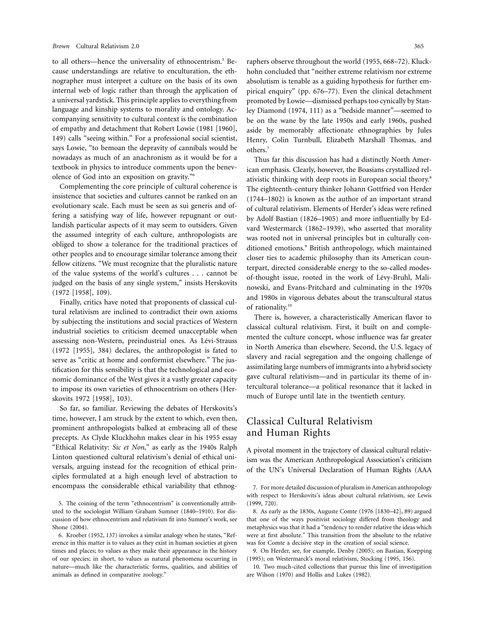to all others—hence the universality of ethnocentrism.<sup>5</sup> Because understandings are relative to enculturation, the ethnographer must interpret a culture on the basis of its own internal web of logic rather than through the application of a universal yardstick. This principle applies to everything from language and kinship systems to morality and ontology. Accompanying sensitivity to cultural context is the combination of empathy and detachment that Robert Lowie (1981 [1960], 149) calls "seeing within." For a professional social scientist, says Lowie, "to bemoan the depravity of cannibals would be nowadays as much of an anachronism as it would be for a textbook in physics to introduce comments upon the benevolence of God into an exposition on gravity."6

Complementing the core principle of cultural coherence is insistence that societies and cultures cannot be ranked on an evolutionary scale. Each must be seen as sui generis and offering a satisfying way of life, however repugnant or outlandish particular aspects of it may seem to outsiders. Given the assumed integrity of each culture, anthropologists are obliged to show a tolerance for the traditional practices of other peoples and to encourage similar tolerance among their fellow citizens. "We must recognize that the pluralistic nature of the value systems of the world's cultures . . . cannot be judged on the basis of any single system," insists Herskovits (1972 [1958], 109).

Finally, critics have noted that proponents of classical cultural relativism are inclined to contradict their own axioms by subjecting the institutions and social practices of Western industrial societies to criticism deemed unacceptable when assessing non-Western, preindustrial ones. As Lévi-Strauss (1972 [1955], 384) declares, the anthropologist is fated to serve as "critic at home and conformist elsewhere." The justification for this sensibility is that the technological and economic dominance of the West gives it a vastly greater capacity to impose its own varieties of ethnocentrism on others (Herskovits 1972 [1958], 103).

So far, so familiar. Reviewing the debates of Herskovits's time, however, I am struck by the extent to which, even then, prominent anthropologists balked at embracing all of these precepts. As Clyde Kluckhohn makes clear in his 1955 essay "Ethical Relativity: *Sic et Non*," as early as the 1940s Ralph Linton questioned cultural relativism's denial of ethical universals, arguing instead for the recognition of ethical principles formulated at a high enough level of abstraction to encompass the considerable ethical variability that ethnog-

raphers observe throughout the world (1955, 668–72). Kluckhohn concluded that "neither extreme relativism nor extreme absolutism is tenable as a guiding hypothesis for further empirical enquiry" (pp. 676–77). Even the clinical detachment promoted by Lowie—dismissed perhaps too cynically by Stanley Diamond (1974, 111) as a "bedside manner"—seemed to be on the wane by the late 1950s and early 1960s, pushed aside by memorably affectionate ethnographies by Jules Henry, Colin Turnbull, Elizabeth Marshall Thomas, and others.7

Thus far this discussion has had a distinctly North American emphasis. Clearly, however, the Boasians crystallized relativistic thinking with deep roots in European social theory.8 The eighteenth-century thinker Johann Gottfried von Herder (1744–1802) is known as the author of an important strand of cultural relativism. Elements of Herder's ideas were refined by Adolf Bastian (1826–1905) and more influentially by Edvard Westermarck (1862–1939), who asserted that morality was rooted not in universal principles but in culturally conditioned emotions.<sup>9</sup> British anthropology, which maintained closer ties to academic philosophy than its American counterpart, directed considerable energy to the so-called modesof-thought issue, rooted in the work of Lévy-Bruhl, Malinowski, and Evans-Pritchard and culminating in the 1970s and 1980s in vigorous debates about the transcultural status of rationality.<sup>10</sup>

There is, however, a characteristically American flavor to classical cultural relativism. First, it built on and complemented the culture concept, whose influence was far greater in North America than elsewhere. Second, the U.S. legacy of slavery and racial segregation and the ongoing challenge of assimilating large numbers of immigrants into a hybrid society gave cultural relativism—and in particular its theme of intercultural tolerance—a political resonance that it lacked in much of Europe until late in the twentieth century.

# Classical Cultural Relativism and Human Rights

A pivotal moment in the trajectory of classical cultural relativism was the American Anthropological Association's criticism of the UN's Universal Declaration of Human Rights (AAA

9. On Herder, see, for example, Denby (2005); on Bastian, Koepping (1995); on Westermarck's moral relativism, Stocking (1995, 156).

10. Two much-cited collections that pursue this line of investigation are Wilson (1970) and Hollis and Lukes (1982).

<sup>5.</sup> The coining of the term "ethnocentrism" is conventionally attributed to the sociologist William Graham Sumner (1840–1910). For discussion of how ethnocentrism and relativism fit into Sumner's work, see Shone (2004).

<sup>6.</sup> Kroeber (1952, 137) invokes a similar analogy when he states, "Reference in this matter is to values as they exist in human societies at given times and places; to values as they make their appearance in the history of our species; in short, to values as natural phenomena occurring in nature—much like the characteristic forms, qualities, and abilities of animals as defined in comparative zoology."

<sup>7.</sup> For more detailed discussion of pluralism in American anthropology with respect to Herskovits's ideas about cultural relativism, see Lewis (1999, 720).

<sup>8.</sup> As early as the 1830s, Auguste Comte (1976 [1830–42], 89) argued that one of the ways positivist sociology differed from theology and metaphysics was that it had a "tendency to render relative the ideas which were at first absolute." This transition from the absolute to the relative was for Comte a decisive step in the creation of social science.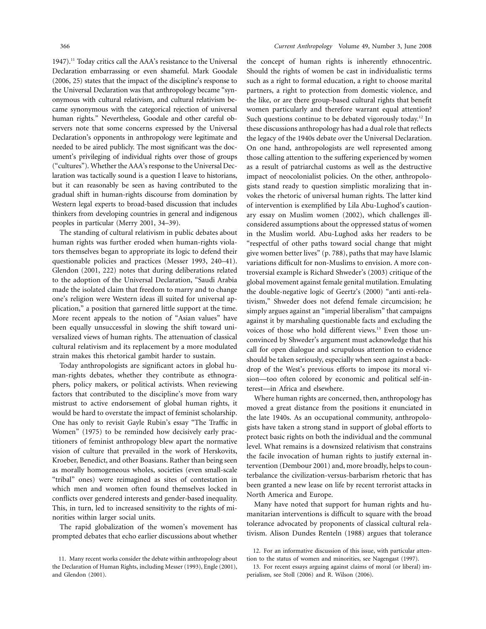1947).<sup>11</sup> Today critics call the AAA's resistance to the Universal Declaration embarrassing or even shameful. Mark Goodale (2006, 25) states that the impact of the discipline's response to the Universal Declaration was that anthropology became "synonymous with cultural relativism, and cultural relativism became synonymous with the categorical rejection of universal human rights." Nevertheless, Goodale and other careful observers note that some concerns expressed by the Universal Declaration's opponents in anthropology were legitimate and needed to be aired publicly. The most significant was the document's privileging of individual rights over those of groups ("cultures"). Whether the AAA's response to the Universal Declaration was tactically sound is a question I leave to historians, but it can reasonably be seen as having contributed to the gradual shift in human-rights discourse from domination by Western legal experts to broad-based discussion that includes thinkers from developing countries in general and indigenous peoples in particular (Merry 2001, 34–39).

The standing of cultural relativism in public debates about human rights was further eroded when human-rights violators themselves began to appropriate its logic to defend their questionable policies and practices (Messer 1993, 240–41). Glendon (2001, 222) notes that during deliberations related to the adoption of the Universal Declaration, "Saudi Arabia made the isolated claim that freedom to marry and to change one's religion were Western ideas ill suited for universal application," a position that garnered little support at the time. More recent appeals to the notion of "Asian values" have been equally unsuccessful in slowing the shift toward universalized views of human rights. The attenuation of classical cultural relativism and its replacement by a more modulated strain makes this rhetorical gambit harder to sustain.

Today anthropologists are significant actors in global human-rights debates, whether they contribute as ethnographers, policy makers, or political activists. When reviewing factors that contributed to the discipline's move from wary mistrust to active endorsement of global human rights, it would be hard to overstate the impact of feminist scholarship. One has only to revisit Gayle Rubin's essay "The Traffic in Women" (1975) to be reminded how decisively early practitioners of feminist anthropology blew apart the normative vision of culture that prevailed in the work of Herskovits, Kroeber, Benedict, and other Boasians. Rather than being seen as morally homogeneous wholes, societies (even small-scale "tribal" ones) were reimagined as sites of contestation in which men and women often found themselves locked in conflicts over gendered interests and gender-based inequality. This, in turn, led to increased sensitivity to the rights of minorities within larger social units.

The rapid globalization of the women's movement has prompted debates that echo earlier discussions about whether the concept of human rights is inherently ethnocentric. Should the rights of women be cast in individualistic terms such as a right to formal education, a right to choose marital partners, a right to protection from domestic violence, and the like, or are there group-based cultural rights that benefit women particularly and therefore warrant equal attention? Such questions continue to be debated vigorously today.<sup>12</sup> In these discussions anthropology has had a dual role that reflects the legacy of the 1940s debate over the Universal Declaration. On one hand, anthropologists are well represented among those calling attention to the suffering experienced by women as a result of patriarchal customs as well as the destructive impact of neocolonialist policies. On the other, anthropologists stand ready to question simplistic moralizing that invokes the rhetoric of universal human rights. The latter kind of intervention is exemplified by Lila Abu-Lughod's cautionary essay on Muslim women (2002), which challenges illconsidered assumptions about the oppressed status of women in the Muslim world. Abu-Lughod asks her readers to be "respectful of other paths toward social change that might give women better lives" (p. 788), paths that may have Islamic variations difficult for non-Muslims to envision. A more controversial example is Richard Shweder's (2003) critique of the global movement against female genital mutilation. Emulating the double-negative logic of Geertz's (2000) "anti anti-relativism," Shweder does not defend female circumcision; he simply argues against an "imperial liberalism" that campaigns against it by marshaling questionable facts and excluding the voices of those who hold different views.<sup>13</sup> Even those unconvinced by Shweder's argument must acknowledge that his call for open dialogue and scrupulous attention to evidence should be taken seriously, especially when seen against a backdrop of the West's previous efforts to impose its moral vision—too often colored by economic and political self-interest—in Africa and elsewhere.

Where human rights are concerned, then, anthropology has moved a great distance from the positions it enunciated in the late 1940s. As an occupational community, anthropologists have taken a strong stand in support of global efforts to protect basic rights on both the individual and the communal level. What remains is a downsized relativism that constrains the facile invocation of human rights to justify external intervention (Dembour 2001) and, more broadly, helps to counterbalance the civilization-versus-barbarism rhetoric that has been granted a new lease on life by recent terrorist attacks in North America and Europe.

Many have noted that support for human rights and humanitarian interventions is difficult to square with the broad tolerance advocated by proponents of classical cultural relativism. Alison Dundes Renteln (1988) argues that tolerance

<sup>11.</sup> Many recent works consider the debate within anthropology about the Declaration of Human Rights, including Messer (1993), Engle (2001), and Glendon (2001).

<sup>12.</sup> For an informative discussion of this issue, with particular attention to the status of women and minorities, see Nagengast (1997).

<sup>13.</sup> For recent essays arguing against claims of moral (or liberal) imperialism, see Stoll (2006) and R. Wilson (2006).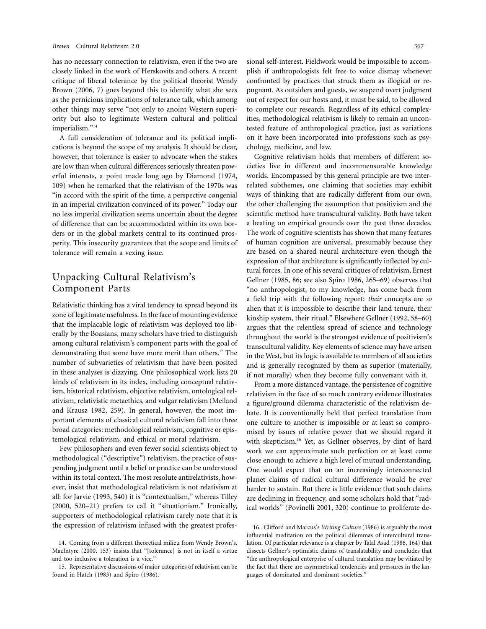has no necessary connection to relativism, even if the two are closely linked in the work of Herskovits and others. A recent critique of liberal tolerance by the political theorist Wendy Brown (2006, 7) goes beyond this to identify what she sees as the pernicious implications of tolerance talk, which among other things may serve "not only to anoint Western superiority but also to legitimate Western cultural and political imperialism."<sup>14</sup>

A full consideration of tolerance and its political implications is beyond the scope of my analysis. It should be clear, however, that tolerance is easier to advocate when the stakes are low than when cultural differences seriously threaten powerful interests, a point made long ago by Diamond (1974, 109) when he remarked that the relativism of the 1970s was "in accord with the spirit of the time, a perspective congenial in an imperial civilization convinced of its power." Today our no less imperial civilization seems uncertain about the degree of difference that can be accommodated within its own borders or in the global markets central to its continued prosperity. This insecurity guarantees that the scope and limits of tolerance will remain a vexing issue.

# Unpacking Cultural Relativism's Component Parts

Relativistic thinking has a viral tendency to spread beyond its zone of legitimate usefulness. In the face of mounting evidence that the implacable logic of relativism was deployed too liberally by the Boasians, many scholars have tried to distinguish among cultural relativism's component parts with the goal of demonstrating that some have more merit than others.<sup>15</sup> The number of subvarieties of relativism that have been posited in these analyses is dizzying. One philosophical work lists 20 kinds of relativism in its index, including conceptual relativism, historical relativism, objective relativism, ontological relativism, relativistic metaethics, and vulgar relativism (Meiland and Krausz 1982, 259). In general, however, the most important elements of classical cultural relativism fall into three broad categories: methodological relativism, cognitive or epistemological relativism, and ethical or moral relativism.

Few philosophers and even fewer social scientists object to methodological ("descriptive") relativism, the practice of suspending judgment until a belief or practice can be understood within its total context. The most resolute antirelativists, however, insist that methodological relativism is not relativism at all: for Jarvie (1993, 540) it is "contextualism," whereas Tilley (2000, 520–21) prefers to call it "situationism." Ironically, supporters of methodological relativism rarely note that it is the expression of relativism infused with the greatest professional self-interest. Fieldwork would be impossible to accomplish if anthropologists felt free to voice dismay whenever confronted by practices that struck them as illogical or repugnant. As outsiders and guests, we suspend overt judgment out of respect for our hosts and, it must be said, to be allowed to complete our research. Regardless of its ethical complexities, methodological relativism is likely to remain an uncontested feature of anthropological practice, just as variations on it have been incorporated into professions such as psychology, medicine, and law.

Cognitive relativism holds that members of different societies live in different and incommensurable knowledge worlds. Encompassed by this general principle are two interrelated subthemes, one claiming that societies may exhibit ways of thinking that are radically different from our own, the other challenging the assumption that positivism and the scientific method have transcultural validity. Both have taken a beating on empirical grounds over the past three decades. The work of cognitive scientists has shown that many features of human cognition are universal, presumably because they are based on a shared neural architecture even though the expression of that architecture is significantly inflected by cultural forces. In one of his several critiques of relativism, Ernest Gellner (1985, 86; see also Spiro 1986, 265–69) observes that "no anthropologist, to my knowledge, has come back from a field trip with the following report: *their* concepts are *so* alien that it is impossible to describe their land tenure, their kinship system, their ritual." Elsewhere Gellner (1992, 58–60) argues that the relentless spread of science and technology throughout the world is the strongest evidence of positivism's transcultural validity. Key elements of science may have arisen in the West, but its logic is available to members of all societies and is generally recognized by them as superior (materially, if not morally) when they become fully conversant with it.

From a more distanced vantage, the persistence of cognitive relativism in the face of so much contrary evidence illustrates a figure/ground dilemma characteristic of the relativism debate. It is conventionally held that perfect translation from one culture to another is impossible or at least so compromised by issues of relative power that we should regard it with skepticism.16 Yet, as Gellner observes, by dint of hard work we can approximate such perfection or at least come close enough to achieve a high level of mutual understanding. One would expect that on an increasingly interconnected planet claims of radical cultural difference would be ever harder to sustain. But there is little evidence that such claims are declining in frequency, and some scholars hold that "radical worlds" (Povinelli 2001, 320) continue to proliferate de-

<sup>14.</sup> Coming from a different theoretical milieu from Wendy Brown's, MacIntyre (2000, 153) insists that "[tolerance] is not in itself a virtue and too inclusive a toleration is a vice."

<sup>15.</sup> Representative discussions of major categories of relativism can be found in Hatch (1983) and Spiro (1986).

<sup>16.</sup> Clifford and Marcus's *Writing Culture* (1986) is arguably the most influential meditation on the political dilemmas of intercultural translation. Of particular relevance is a chapter by Talal Asad (1986, 164) that dissects Gellner's optimistic claims of translatability and concludes that "the anthropological enterprise of cultural translation may be vitiated by the fact that there are asymmetrical tendencies and pressures in the languages of dominated and dominant societies."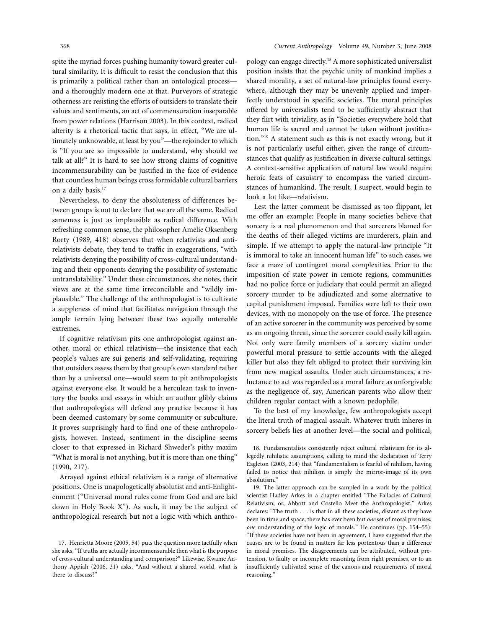spite the myriad forces pushing humanity toward greater cultural similarity. It is difficult to resist the conclusion that this is primarily a political rather than an ontological process and a thoroughly modern one at that. Purveyors of strategic otherness are resisting the efforts of outsiders to translate their values and sentiments, an act of commensuration inseparable from power relations (Harrison 2003). In this context, radical alterity is a rhetorical tactic that says, in effect, "We are ultimately unknowable, at least by you"—the rejoinder to which is "If you are so impossible to understand, why should we talk at all?" It is hard to see how strong claims of cognitive incommensurability can be justified in the face of evidence that countless human beings cross formidable cultural barriers on a daily basis.<sup>17</sup>

Nevertheless, to deny the absoluteness of differences between groups is not to declare that we are all the same. Radical sameness is just as implausible as radical difference. With refreshing common sense, the philosopher Amélie Oksenberg Rorty (1989, 418) observes that when relativists and antirelativists debate, they tend to traffic in exaggerations, "with relativists denying the possibility of cross-cultural understanding and their opponents denying the possibility of systematic untranslatability." Under these circumstances, she notes, their views are at the same time irreconcilable and "wildly implausible." The challenge of the anthropologist is to cultivate a suppleness of mind that facilitates navigation through the ample terrain lying between these two equally untenable extremes.

If cognitive relativism pits one anthropologist against another, moral or ethical relativism—the insistence that each people's values are sui generis and self-validating, requiring that outsiders assess them by that group's own standard rather than by a universal one—would seem to pit anthropologists against everyone else. It would be a herculean task to inventory the books and essays in which an author glibly claims that anthropologists will defend any practice because it has been deemed customary by some community or subculture. It proves surprisingly hard to find one of these anthropologists, however. Instead, sentiment in the discipline seems closer to that expressed in Richard Shweder's pithy maxim "What is moral is not anything, but it is more than one thing" (1990, 217).

Arrayed against ethical relativism is a range of alternative positions. One is unapologetically absolutist and anti-Enlightenment ("Universal moral rules come from God and are laid down in Holy Book X"). As such, it may be the subject of anthropological research but not a logic with which anthro-

pology can engage directly.<sup>18</sup> A more sophisticated universalist position insists that the psychic unity of mankind implies a shared morality, a set of natural-law principles found everywhere, although they may be unevenly applied and imperfectly understood in specific societies. The moral principles offered by universalists tend to be sufficiently abstract that they flirt with triviality, as in "Societies everywhere hold that human life is sacred and cannot be taken without justification."19 A statement such as this is not exactly wrong, but it is not particularly useful either, given the range of circumstances that qualify as justification in diverse cultural settings. A context-sensitive application of natural law would require heroic feats of casuistry to encompass the varied circumstances of humankind. The result, I suspect, would begin to look a lot like—relativism.

Lest the latter comment be dismissed as too flippant, let me offer an example: People in many societies believe that sorcery is a real phenomenon and that sorcerers blamed for the deaths of their alleged victims are murderers, plain and simple. If we attempt to apply the natural-law principle "It is immoral to take an innocent human life" to such cases, we face a maze of contingent moral complexities. Prior to the imposition of state power in remote regions, communities had no police force or judiciary that could permit an alleged sorcery murder to be adjudicated and some alternative to capital punishment imposed. Families were left to their own devices, with no monopoly on the use of force. The presence of an active sorcerer in the community was perceived by some as an ongoing threat, since the sorcerer could easily kill again. Not only were family members of a sorcery victim under powerful moral pressure to settle accounts with the alleged killer but also they felt obliged to protect their surviving kin from new magical assaults. Under such circumstances, a reluctance to act was regarded as a moral failure as unforgivable as the negligence of, say, American parents who allow their children regular contact with a known pedophile.

To the best of my knowledge, few anthropologists accept the literal truth of magical assault. Whatever truth inheres in sorcery beliefs lies at another level—the social and political,

<sup>17.</sup> Henrietta Moore (2005, 54) puts the question more tactfully when she asks, "If truths are actually incommensurable then what is the purpose of cross-cultural understanding and comparison?" Likewise, Kwame Anthony Appiah (2006, 31) asks, "And without a shared world, what is there to discuss?"

<sup>18.</sup> Fundamentalists consistently reject cultural relativism for its allegedly nihilistic assumptions, calling to mind the declaration of Terry Eagleton (2003, 214) that "fundamentalism is fearful of nihilism, having failed to notice that nihilism is simply the mirror-image of its own absolutism."

<sup>19.</sup> The latter approach can be sampled in a work by the political scientist Hadley Arkes in a chapter entitled "The Fallacies of Cultural Relativism; or, Abbott and Costello Meet the Anthropologist." Arkes declares: "The truth . . . is that in all these societies, distant as they have been in time and space, there has ever been but *one* set of moral premises, *one* understanding of the logic of morals." He continues (pp. 154–55): "If these societies have not been in agreement, I have suggested that the causes are to be found in matters far less portentous than a difference in moral premises. The disagreements can be attributed, without pretension, to faulty or incomplete reasoning from right premises, or to an insufficiently cultivated sense of the canons and requirements of moral reasoning."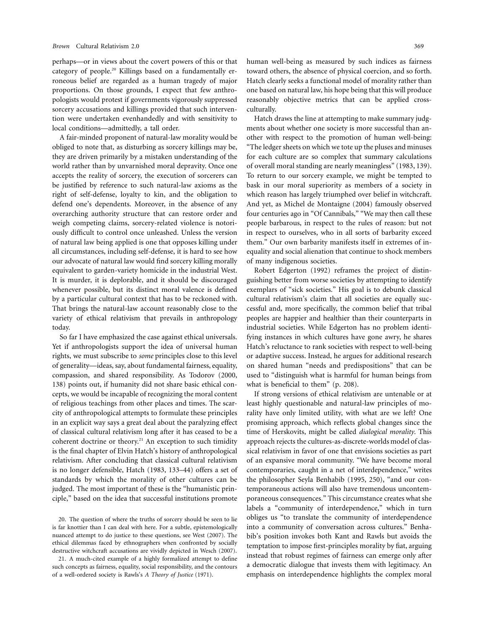perhaps—or in views about the covert powers of this or that category of people.<sup>20</sup> Killings based on a fundamentally erroneous belief are regarded as a human tragedy of major proportions. On those grounds, I expect that few anthropologists would protest if governments vigorously suppressed sorcery accusations and killings provided that such intervention were undertaken evenhandedly and with sensitivity to local conditions—admittedly, a tall order.

A fair-minded proponent of natural-law morality would be obliged to note that, as disturbing as sorcery killings may be, they are driven primarily by a mistaken understanding of the world rather than by unvarnished moral depravity. Once one accepts the reality of sorcery, the execution of sorcerers can be justified by reference to such natural-law axioms as the right of self-defense, loyalty to kin, and the obligation to defend one's dependents. Moreover, in the absence of any overarching authority structure that can restore order and weigh competing claims, sorcery-related violence is notoriously difficult to control once unleashed. Unless the version of natural law being applied is one that opposes killing under all circumstances, including self-defense, it is hard to see how our advocate of natural law would find sorcery killing morally equivalent to garden-variety homicide in the industrial West. It is murder, it is deplorable, and it should be discouraged whenever possible, but its distinct moral valence is defined by a particular cultural context that has to be reckoned with. That brings the natural-law account reasonably close to the variety of ethical relativism that prevails in anthropology today.

So far I have emphasized the case against ethical universals. Yet if anthropologists support the idea of universal human rights, we must subscribe to *some* principles close to this level of generality—ideas, say, about fundamental fairness, equality, compassion, and shared responsibility. As Todorov (2000, 138) points out, if humanity did not share basic ethical concepts, we would be incapable of recognizing the moral content of religious teachings from other places and times. The scarcity of anthropological attempts to formulate these principles in an explicit way says a great deal about the paralyzing effect of classical cultural relativism long after it has ceased to be a coherent doctrine or theory.<sup>21</sup> An exception to such timidity is the final chapter of Elvin Hatch's history of anthropological relativism. After concluding that classical cultural relativism is no longer defensible, Hatch (1983, 133–44) offers a set of standards by which the morality of other cultures can be judged. The most important of these is the "humanistic principle," based on the idea that successful institutions promote human well-being as measured by such indices as fairness toward others, the absence of physical coercion, and so forth. Hatch clearly seeks a functional model of morality rather than one based on natural law, his hope being that this will produce reasonably objective metrics that can be applied crossculturally.

Hatch draws the line at attempting to make summary judgments about whether one society is more successful than another with respect to the promotion of human well-being: "The ledger sheets on which we tote up the pluses and minuses for each culture are so complex that summary calculations of overall moral standing are nearly meaningless" (1983, 139). To return to our sorcery example, we might be tempted to bask in our moral superiority as members of a society in which reason has largely triumphed over belief in witchcraft. And yet, as Michel de Montaigne (2004) famously observed four centuries ago in "Of Cannibals," "We may then call these people barbarous, in respect to the rules of reason: but not in respect to ourselves, who in all sorts of barbarity exceed them." Our own barbarity manifests itself in extremes of inequality and social alienation that continue to shock members of many indigenous societies.

Robert Edgerton (1992) reframes the project of distinguishing better from worse societies by attempting to identify exemplars of "sick societies." His goal is to debunk classical cultural relativism's claim that all societies are equally successful and, more specifically, the common belief that tribal peoples are happier and healthier than their counterparts in industrial societies. While Edgerton has no problem identifying instances in which cultures have gone awry, he shares Hatch's reluctance to rank societies with respect to well-being or adaptive success. Instead, he argues for additional research on shared human "needs and predispositions" that can be used to "distinguish what is harmful for human beings from what is beneficial to them" (p. 208).

If strong versions of ethical relativism are untenable or at least highly questionable and natural-law principles of morality have only limited utility, with what are we left? One promising approach, which reflects global changes since the time of Herskovits, might be called *dialogical morality*. This approach rejects the cultures-as-discrete-worlds model of classical relativism in favor of one that envisions societies as part of an expansive moral community. "We have become moral contemporaries, caught in a net of interdependence," writes the philosopher Seyla Benhabib (1995, 250), "and our contemporaneous actions will also have tremendous uncontemporaneous consequences." This circumstance creates what she labels a "community of interdependence," which in turn obliges us "to translate the community of interdependence into a community of conversation across cultures." Benhabib's position invokes both Kant and Rawls but avoids the temptation to impose first-principles morality by fiat, arguing instead that robust regimes of fairness can emerge only after a democratic dialogue that invests them with legitimacy. An emphasis on interdependence highlights the complex moral

<sup>20.</sup> The question of where the truths of sorcery should be seen to lie is far knottier than I can deal with here. For a subtle, epistemologically nuanced attempt to do justice to these questions, see West (2007). The ethical dilemmas faced by ethnographers when confronted by socially destructive witchcraft accusations are vividly depicted in Wesch (2007).

<sup>21.</sup> A much-cited example of a highly formalized attempt to define such concepts as fairness, equality, social responsibility, and the contours of a well-ordered society is Rawls's *A Theory of Justice* (1971).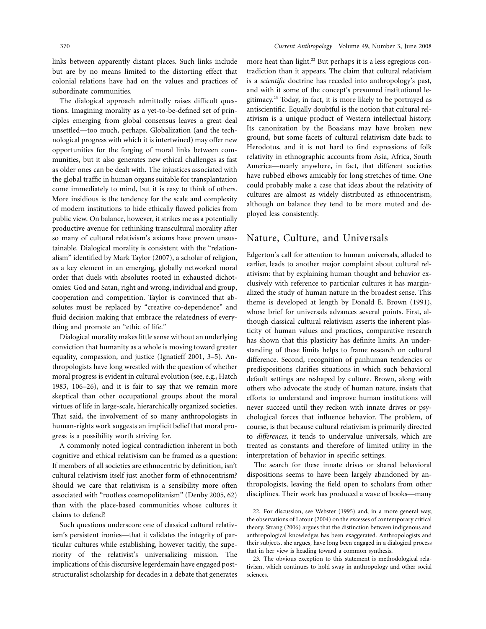links between apparently distant places. Such links include but are by no means limited to the distorting effect that colonial relations have had on the values and practices of subordinate communities.

The dialogical approach admittedly raises difficult questions. Imagining morality as a yet-to-be-defined set of principles emerging from global consensus leaves a great deal unsettled—too much, perhaps. Globalization (and the technological progress with which it is intertwined) may offer new opportunities for the forging of moral links between communities, but it also generates new ethical challenges as fast as older ones can be dealt with. The injustices associated with the global traffic in human organs suitable for transplantation come immediately to mind, but it is easy to think of others. More insidious is the tendency for the scale and complexity of modern institutions to hide ethically flawed policies from public view. On balance, however, it strikes me as a potentially productive avenue for rethinking transcultural morality after so many of cultural relativism's axioms have proven unsustainable. Dialogical morality is consistent with the "relationalism" identified by Mark Taylor (2007), a scholar of religion, as a key element in an emerging, globally networked moral order that duels with absolutes rooted in exhausted dichotomies: God and Satan, right and wrong, individual and group, cooperation and competition. Taylor is convinced that absolutes must be replaced by "creative co-dependence" and fluid decision making that embrace the relatedness of everything and promote an "ethic of life."

Dialogical morality makes little sense without an underlying conviction that humanity as a whole is moving toward greater equality, compassion, and justice (Ignatieff 2001, 3–5). Anthropologists have long wrestled with the question of whether moral progress is evident in cultural evolution (see, e.g., Hatch 1983, 106–26), and it is fair to say that we remain more skeptical than other occupational groups about the moral virtues of life in large-scale, hierarchically organized societies. That said, the involvement of so many anthropologists in human-rights work suggests an implicit belief that moral progress is a possibility worth striving for.

A commonly noted logical contradiction inherent in both cognitive and ethical relativism can be framed as a question: If members of all societies are ethnocentric by definition, isn't cultural relativism itself just another form of ethnocentrism? Should we care that relativism is a sensibility more often associated with "rootless cosmopolitanism" (Denby 2005, 62) than with the place-based communities whose cultures it claims to defend?

Such questions underscore one of classical cultural relativism's persistent ironies—that it validates the integrity of particular cultures while establishing, however tacitly, the superiority of the relativist's universalizing mission. The implications of this discursive legerdemain have engaged poststructuralist scholarship for decades in a debate that generates

more heat than light.<sup>22</sup> But perhaps it is a less egregious contradiction than it appears. The claim that cultural relativism is a *scientific* doctrine has receded into anthropology's past, and with it some of the concept's presumed institutional legitimacy.23 Today, in fact, it is more likely to be portrayed as antiscientific. Equally doubtful is the notion that cultural relativism is a unique product of Western intellectual history. Its canonization by the Boasians may have broken new ground, but some facets of cultural relativism date back to Herodotus, and it is not hard to find expressions of folk relativity in ethnographic accounts from Asia, Africa, South America—nearly anywhere, in fact, that different societies have rubbed elbows amicably for long stretches of time. One could probably make a case that ideas about the relativity of cultures are almost as widely distributed as ethnocentrism, although on balance they tend to be more muted and deployed less consistently.

### Nature, Culture, and Universals

Edgerton's call for attention to human universals, alluded to earlier, leads to another major complaint about cultural relativism: that by explaining human thought and behavior exclusively with reference to particular cultures it has marginalized the study of human nature in the broadest sense. This theme is developed at length by Donald E. Brown (1991), whose brief for universals advances several points. First, although classical cultural relativism asserts the inherent plasticity of human values and practices, comparative research has shown that this plasticity has definite limits. An understanding of these limits helps to frame research on cultural difference. Second, recognition of panhuman tendencies or predispositions clarifies situations in which such behavioral default settings are reshaped by culture. Brown, along with others who advocate the study of human nature, insists that efforts to understand and improve human institutions will never succeed until they reckon with innate drives or psychological forces that influence behavior. The problem, of course, is that because cultural relativism is primarily directed to *differences*, it tends to undervalue universals, which are treated as constants and therefore of limited utility in the interpretation of behavior in specific settings.

The search for these innate drives or shared behavioral dispositions seems to have been largely abandoned by anthropologists, leaving the field open to scholars from other disciplines. Their work has produced a wave of books—many

23. The obvious exception to this statement is methodological relativism, which continues to hold sway in anthropology and other social sciences.

<sup>22.</sup> For discussion, see Webster (1995) and, in a more general way, the observations of Latour (2004) on the excesses of contemporary critical theory. Strang (2006) argues that the distinction between indigenous and anthropological knowledges has been exaggerated. Anthropologists and their subjects, she argues, have long been engaged in a dialogical process that in her view is heading toward a common synthesis.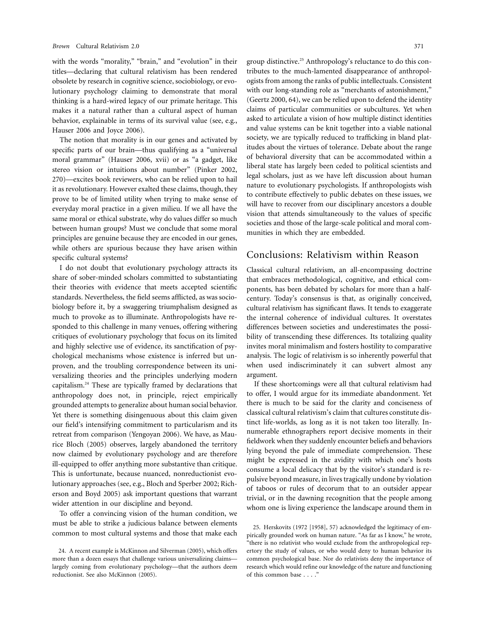with the words "morality," "brain," and "evolution" in their titles—declaring that cultural relativism has been rendered obsolete by research in cognitive science, sociobiology, or evolutionary psychology claiming to demonstrate that moral thinking is a hard-wired legacy of our primate heritage. This makes it a natural rather than a cultural aspect of human behavior, explainable in terms of its survival value (see, e.g., Hauser 2006 and Joyce 2006).

The notion that morality is in our genes and activated by specific parts of our brain—thus qualifying as a "universal moral grammar" (Hauser 2006, xvii) or as "a gadget, like stereo vision or intuitions about number" (Pinker 2002, 270)—excites book reviewers, who can be relied upon to hail it as revolutionary. However exalted these claims, though, they prove to be of limited utility when trying to make sense of everyday moral practice in a given milieu. If we all have the same moral or ethical substrate, why do values differ so much between human groups? Must we conclude that some moral principles are genuine because they are encoded in our genes, while others are spurious because they have arisen within specific cultural systems?

I do not doubt that evolutionary psychology attracts its share of sober-minded scholars committed to substantiating their theories with evidence that meets accepted scientific standards. Nevertheless, the field seems afflicted, as was sociobiology before it, by a swaggering triumphalism designed as much to provoke as to illuminate. Anthropologists have responded to this challenge in many venues, offering withering critiques of evolutionary psychology that focus on its limited and highly selective use of evidence, its sanctification of psychological mechanisms whose existence is inferred but unproven, and the troubling correspondence between its universalizing theories and the principles underlying modern capitalism.24 These are typically framed by declarations that anthropology does not, in principle, reject empirically grounded attempts to generalize about human social behavior. Yet there is something disingenuous about this claim given our field's intensifying commitment to particularism and its retreat from comparison (Yengoyan 2006). We have, as Maurice Bloch (2005) observes, largely abandoned the territory now claimed by evolutionary psychology and are therefore ill-equipped to offer anything more substantive than critique. This is unfortunate, because nuanced, nonreductionist evolutionary approaches (see, e.g., Bloch and Sperber 2002; Richerson and Boyd 2005) ask important questions that warrant wider attention in our discipline and beyond.

To offer a convincing vision of the human condition, we must be able to strike a judicious balance between elements common to most cultural systems and those that make each group distinctive.<sup>25</sup> Anthropology's reluctance to do this contributes to the much-lamented disappearance of anthropologists from among the ranks of public intellectuals. Consistent with our long-standing role as "merchants of astonishment," (Geertz 2000, 64), we can be relied upon to defend the identity claims of particular communities or subcultures. Yet when asked to articulate a vision of how multiple distinct identities and value systems can be knit together into a viable national society, we are typically reduced to trafficking in bland platitudes about the virtues of tolerance. Debate about the range of behavioral diversity that can be accommodated within a liberal state has largely been ceded to political scientists and legal scholars, just as we have left discussion about human nature to evolutionary psychologists. If anthropologists wish to contribute effectively to public debates on these issues, we will have to recover from our disciplinary ancestors a double vision that attends simultaneously to the values of specific societies and those of the large-scale political and moral communities in which they are embedded.

### Conclusions: Relativism within Reason

Classical cultural relativism, an all-encompassing doctrine that embraces methodological, cognitive, and ethical components, has been debated by scholars for more than a halfcentury. Today's consensus is that, as originally conceived, cultural relativism has significant flaws. It tends to exaggerate the internal coherence of individual cultures. It overstates differences between societies and underestimates the possibility of transcending these differences. Its totalizing quality invites moral minimalism and fosters hostility to comparative analysis. The logic of relativism is so inherently powerful that when used indiscriminately it can subvert almost any argument.

If these shortcomings were all that cultural relativism had to offer, I would argue for its immediate abandonment. Yet there is much to be said for the clarity and conciseness of classical cultural relativism's claim that cultures constitute distinct life-worlds, as long as it is not taken too literally. Innumerable ethnographers report decisive moments in their fieldwork when they suddenly encounter beliefs and behaviors lying beyond the pale of immediate comprehension. These might be expressed in the avidity with which one's hosts consume a local delicacy that by the visitor's standard is repulsive beyond measure, in lives tragically undone by violation of taboos or rules of decorum that to an outsider appear trivial, or in the dawning recognition that the people among whom one is living experience the landscape around them in

<sup>24.</sup> A recent example is McKinnon and Silverman (2005), which offers more than a dozen essays that challenge various universalizing claims largely coming from evolutionary psychology—that the authors deem reductionist. See also McKinnon (2005).

<sup>25.</sup> Herskovits (1972 [1958], 57) acknowledged the legitimacy of empirically grounded work on human nature. "As far as I know," he wrote, "there is no relativist who would exclude from the anthropological repertory the study of values, or who would deny to human behavior its common psychological base. Nor do relativists deny the importance of research which would refine our knowledge of the nature and functioning of this common base . . . ."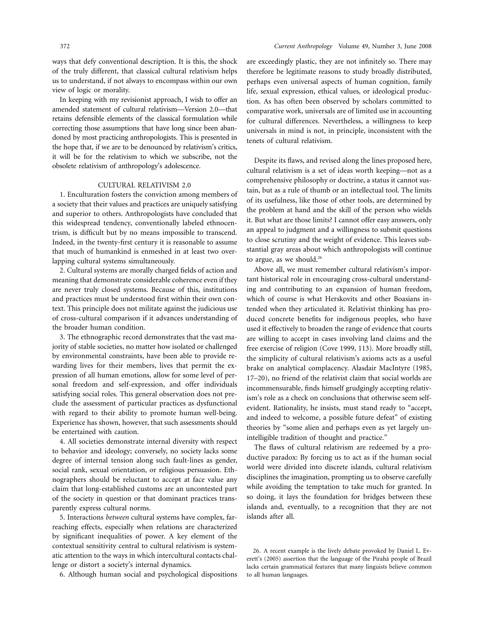ways that defy conventional description. It is this, the shock of the truly different, that classical cultural relativism helps us to understand, if not always to encompass within our own view of logic or morality.

In keeping with my revisionist approach, I wish to offer an amended statement of cultural relativism—Version 2.0—that retains defensible elements of the classical formulation while correcting those assumptions that have long since been abandoned by most practicing anthropologists. This is presented in the hope that, if we are to be denounced by relativism's critics, it will be for the relativism to which we subscribe, not the obsolete relativism of anthropology's adolescence.

#### CULTURAL RELATIVISM 2.0

1. Enculturation fosters the conviction among members of a society that their values and practices are uniquely satisfying and superior to others. Anthropologists have concluded that this widespread tendency, conventionally labeled ethnocentrism, is difficult but by no means impossible to transcend. Indeed, in the twenty-first century it is reasonable to assume that much of humankind is enmeshed in at least two overlapping cultural systems simultaneously.

2. Cultural systems are morally charged fields of action and meaning that demonstrate considerable coherence even if they are never truly closed systems. Because of this, institutions and practices must be understood first within their own context. This principle does not militate against the judicious use of cross-cultural comparison if it advances understanding of the broader human condition.

3. The ethnographic record demonstrates that the vast majority of stable societies, no matter how isolated or challenged by environmental constraints, have been able to provide rewarding lives for their members, lives that permit the expression of all human emotions, allow for some level of personal freedom and self-expression, and offer individuals satisfying social roles. This general observation does not preclude the assessment of particular practices as dysfunctional with regard to their ability to promote human well-being. Experience has shown, however, that such assessments should be entertained with caution.

4. All societies demonstrate internal diversity with respect to behavior and ideology; conversely, no society lacks some degree of internal tension along such fault-lines as gender, social rank, sexual orientation, or religious persuasion. Ethnographers should be reluctant to accept at face value any claim that long-established customs are an uncontested part of the society in question or that dominant practices transparently express cultural norms.

5. Interactions *between* cultural systems have complex, farreaching effects, especially when relations are characterized by significant inequalities of power. A key element of the contextual sensitivity central to cultural relativism is systematic attention to the ways in which intercultural contacts challenge or distort a society's internal dynamics.

6. Although human social and psychological dispositions

are exceedingly plastic, they are not infinitely so. There may therefore be legitimate reasons to study broadly distributed, perhaps even universal aspects of human cognition, family life, sexual expression, ethical values, or ideological production. As has often been observed by scholars committed to comparative work, universals are of limited use in accounting for cultural differences. Nevertheless, a willingness to keep universals in mind is not, in principle, inconsistent with the tenets of cultural relativism.

Despite its flaws, and revised along the lines proposed here, cultural relativism is a set of ideas worth keeping—not as a comprehensive philosophy or doctrine, a status it cannot sustain, but as a rule of thumb or an intellectual tool. The limits of its usefulness, like those of other tools, are determined by the problem at hand and the skill of the person who wields it. But what are those limits? I cannot offer easy answers, only an appeal to judgment and a willingness to submit questions to close scrutiny and the weight of evidence. This leaves substantial gray areas about which anthropologists will continue to argue, as we should.<sup>26</sup>

Above all, we must remember cultural relativism's important historical role in encouraging cross-cultural understanding and contributing to an expansion of human freedom, which of course is what Herskovits and other Boasians intended when they articulated it. Relativist thinking has produced concrete benefits for indigenous peoples, who have used it effectively to broaden the range of evidence that courts are willing to accept in cases involving land claims and the free exercise of religion (Cove 1999, 113). More broadly still, the simplicity of cultural relativism's axioms acts as a useful brake on analytical complacency. Alasdair MacIntyre (1985, 17–20), no friend of the relativist claim that social worlds are incommensurable, finds himself grudgingly accepting relativism's role as a check on conclusions that otherwise seem selfevident. Rationality, he insists, must stand ready to "accept, and indeed to welcome, a possible future defeat" of existing theories by "some alien and perhaps even as yet largely unintelligible tradition of thought and practice."

The flaws of cultural relativism are redeemed by a productive paradox: By forcing us to act as if the human social world were divided into discrete islands, cultural relativism disciplines the imagination, prompting us to observe carefully while avoiding the temptation to take much for granted. In so doing, it lays the foundation for bridges between these islands and, eventually, to a recognition that they are not islands after all.

<sup>26.</sup> A recent example is the lively debate provoked by Daniel L. Everett's (2005) assertion that the language of the Pirahã people of Brazil lacks certain grammatical features that many linguists believe common to all human languages.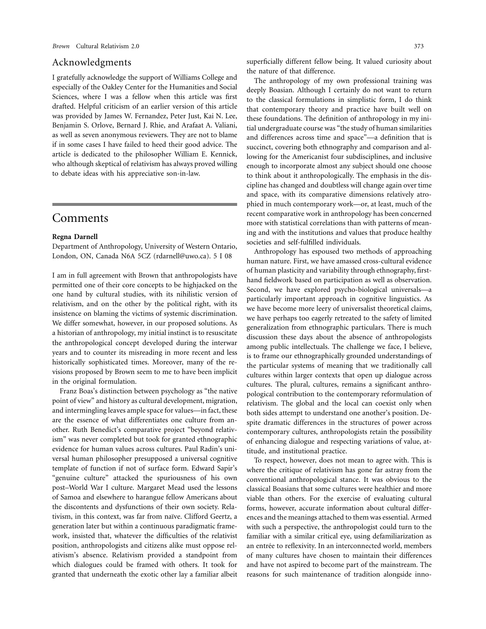#### Acknowledgments

I gratefully acknowledge the support of Williams College and especially of the Oakley Center for the Humanities and Social Sciences, where I was a fellow when this article was first drafted. Helpful criticism of an earlier version of this article was provided by James W. Fernandez, Peter Just, Kai N. Lee, Benjamin S. Orlove, Bernard J. Rhie, and Arafaat A. Valiani, as well as seven anonymous reviewers. They are not to blame if in some cases I have failed to heed their good advice. The article is dedicated to the philosopher William E. Kennick, who although skeptical of relativism has always proved willing to debate ideas with his appreciative son-in-law.

# Comments

#### **Regna Darnell**

Department of Anthropology, University of Western Ontario, London, ON, Canada N6A 5CZ (rdarnell@uwo.ca). 5 I 08

I am in full agreement with Brown that anthropologists have permitted one of their core concepts to be highjacked on the one hand by cultural studies, with its nihilistic version of relativism, and on the other by the political right, with its insistence on blaming the victims of systemic discrimination. We differ somewhat, however, in our proposed solutions. As a historian of anthropology, my initial instinct is to resuscitate the anthropological concept developed during the interwar years and to counter its misreading in more recent and less historically sophisticated times. Moreover, many of the revisions proposed by Brown seem to me to have been implicit in the original formulation.

Franz Boas's distinction between psychology as "the native point of view" and history as cultural development, migration, and intermingling leaves ample space for values—in fact, these are the essence of what differentiates one culture from another. Ruth Benedict's comparative project "beyond relativism" was never completed but took for granted ethnographic evidence for human values across cultures. Paul Radin's universal human philosopher presupposed a universal cognitive template of function if not of surface form. Edward Sapir's "genuine culture" attacked the spuriousness of his own post–World War I culture. Margaret Mead used the lessons of Samoa and elsewhere to harangue fellow Americans about the discontents and dysfunctions of their own society. Relativism, in this context, was far from naïve. Clifford Geertz, a generation later but within a continuous paradigmatic framework, insisted that, whatever the difficulties of the relativist position, anthropologists and citizens alike must oppose relativism's absence. Relativism provided a standpoint from which dialogues could be framed with others. It took for granted that underneath the exotic other lay a familiar albeit superficially different fellow being. It valued curiosity about the nature of that difference.

The anthropology of my own professional training was deeply Boasian. Although I certainly do not want to return to the classical formulations in simplistic form, I do think that contemporary theory and practice have built well on these foundations. The definition of anthropology in my initial undergraduate course was "the study of human similarities and differences across time and space"—a definition that is succinct, covering both ethnography and comparison and allowing for the Americanist four subdisciplines, and inclusive enough to incorporate almost any subject should one choose to think about it anthropologically. The emphasis in the discipline has changed and doubtless will change again over time and space, with its comparative dimensions relatively atrophied in much contemporary work—or, at least, much of the recent comparative work in anthropology has been concerned more with statistical correlations than with patterns of meaning and with the institutions and values that produce healthy societies and self-fulfilled individuals.

Anthropology has espoused two methods of approaching human nature. First, we have amassed cross-cultural evidence of human plasticity and variability through ethnography, firsthand fieldwork based on participation as well as observation. Second, we have explored psycho-biological universals—a particularly important approach in cognitive linguistics. As we have become more leery of universalist theoretical claims, we have perhaps too eagerly retreated to the safety of limited generalization from ethnographic particulars. There is much discussion these days about the absence of anthropologists among public intellectuals. The challenge we face, I believe, is to frame our ethnographically grounded understandings of the particular systems of meaning that we traditionally call cultures within larger contexts that open up dialogue across cultures. The plural, cultures, remains a significant anthropological contribution to the contemporary reformulation of relativism. The global and the local can coexist only when both sides attempt to understand one another's position. Despite dramatic differences in the structures of power across contemporary cultures, anthropologists retain the possibility of enhancing dialogue and respecting variations of value, attitude, and institutional practice.

To respect, however, does not mean to agree with. This is where the critique of relativism has gone far astray from the conventional anthropological stance. It was obvious to the classical Boasians that some cultures were healthier and more viable than others. For the exercise of evaluating cultural forms, however, accurate information about cultural differences and the meanings attached to them was essential. Armed with such a perspective, the anthropologist could turn to the familiar with a similar critical eye, using defamiliarization as an entrée to reflexivity. In an interconnected world, members of many cultures have chosen to maintain their differences and have not aspired to become part of the mainstream. The reasons for such maintenance of tradition alongside inno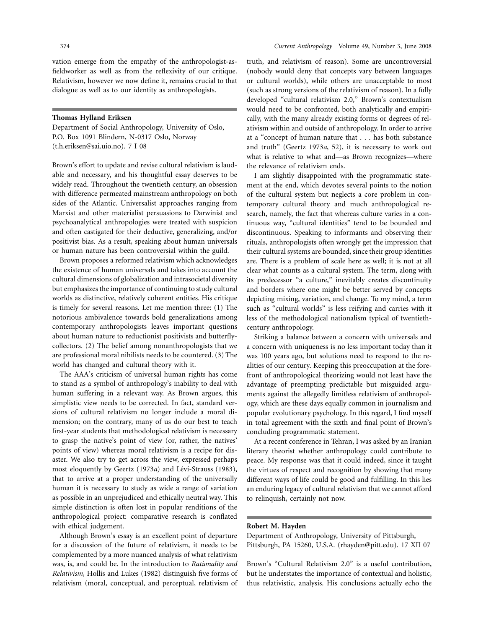vation emerge from the empathy of the anthropologist-asfieldworker as well as from the reflexivity of our critique. Relativism, however we now define it, remains crucial to that dialogue as well as to our identity as anthropologists.

#### **Thomas Hylland Eriksen**

Department of Social Anthropology, University of Oslo, P.O. Box 1091 Blindern, N-0317 Oslo, Norway (t.h.eriksen@sai.uio.no). 7 I 08

Brown's effort to update and revise cultural relativism is laudable and necessary, and his thoughtful essay deserves to be widely read. Throughout the twentieth century, an obsession with difference permeated mainstream anthropology on both sides of the Atlantic. Universalist approaches ranging from Marxist and other materialist persuasions to Darwinist and psychoanalytical anthropologies were treated with suspicion and often castigated for their deductive, generalizing, and/or positivist bias. As a result, speaking about human universals or human nature has been controversial within the guild.

Brown proposes a reformed relativism which acknowledges the existence of human universals and takes into account the cultural dimensions of globalization and intrasocietal diversity but emphasizes the importance of continuing to study cultural worlds as distinctive, relatively coherent entities. His critique is timely for several reasons. Let me mention three: (1) The notorious ambivalence towards bold generalizations among contemporary anthropologists leaves important questions about human nature to reductionist positivists and butterflycollectors. (2) The belief among nonanthropologists that we are professional moral nihilists needs to be countered. (3) The world has changed and cultural theory with it.

The AAA's criticism of universal human rights has come to stand as a symbol of anthropology's inability to deal with human suffering in a relevant way. As Brown argues, this simplistic view needs to be corrected. In fact, standard versions of cultural relativism no longer include a moral dimension; on the contrary, many of us do our best to teach first-year students that methodological relativism is necessary to grasp the native's point of view (or, rather, the natives' points of view) whereas moral relativism is a recipe for disaster. We also try to get across the view, expressed perhaps most eloquently by Geertz (1973*a*) and Lévi-Strauss (1983), that to arrive at a proper understanding of the universally human it is necessary to study as wide a range of variation as possible in an unprejudiced and ethically neutral way. This simple distinction is often lost in popular renditions of the anthropological project: comparative research is conflated with ethical judgement.

Although Brown's essay is an excellent point of departure for a discussion of the future of relativism, it needs to be complemented by a more nuanced analysis of what relativism was, is, and could be. In the introduction to *Rationality and Relativism*, Hollis and Lukes (1982) distinguish five forms of relativism (moral, conceptual, and perceptual, relativism of truth, and relativism of reason). Some are uncontroversial (nobody would deny that concepts vary between languages or cultural worlds), while others are unacceptable to most (such as strong versions of the relativism of reason). In a fully developed "cultural relativism 2.0," Brown's contextualism would need to be confronted, both analytically and empirically, with the many already existing forms or degrees of relativism within and outside of anthropology. In order to arrive at a "concept of human nature that . . . has both substance and truth" (Geertz 1973*a*, 52), it is necessary to work out what is relative to what and—as Brown recognizes—where the relevance of relativism ends.

I am slightly disappointed with the programmatic statement at the end, which devotes several points to the notion of the cultural system but neglects a core problem in contemporary cultural theory and much anthropological research, namely, the fact that whereas culture varies in a continuous way, "cultural identities" tend to be bounded and discontinuous. Speaking to informants and observing their rituals, anthropologists often wrongly get the impression that their cultural systems are bounded, since their group identities are. There is a problem of scale here as well; it is not at all clear what counts as a cultural system. The term, along with its predecessor "a culture," inevitably creates discontinuity and borders where one might be better served by concepts depicting mixing, variation, and change. To my mind, a term such as "cultural worlds" is less reifying and carries with it less of the methodological nationalism typical of twentiethcentury anthropology.

Striking a balance between a concern with universals and a concern with uniqueness is no less important today than it was 100 years ago, but solutions need to respond to the realities of our century. Keeping this preoccupation at the forefront of anthropological theorizing would not least have the advantage of preempting predictable but misguided arguments against the allegedly limitless relativism of anthropology, which are these days equally common in journalism and popular evolutionary psychology. In this regard, I find myself in total agreement with the sixth and final point of Brown's concluding programmatic statement.

At a recent conference in Tehran, I was asked by an Iranian literary theorist whether anthropology could contribute to peace. My response was that it could indeed, since it taught the virtues of respect and recognition by showing that many different ways of life could be good and fulfilling. In this lies an enduring legacy of cultural relativism that we cannot afford to relinquish, certainly not now.

#### **Robert M. Hayden**

Department of Anthropology, University of Pittsburgh, Pittsburgh, PA 15260, U.S.A. (rhayden@pitt.edu). 17 XII 07

Brown's "Cultural Relativism 2.0" is a useful contribution, but he understates the importance of contextual and holistic, thus relativistic, analysis. His conclusions actually echo the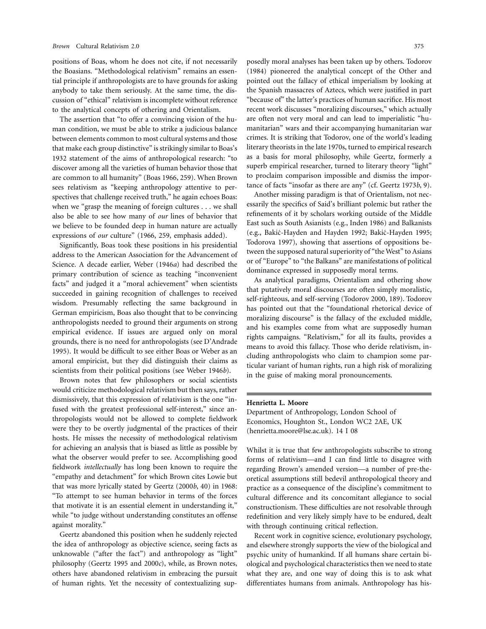positions of Boas, whom he does not cite, if not necessarily the Boasians. "Methodological relativism" remains an essential principle if anthropologists are to have grounds for asking anybody to take them seriously. At the same time, the discussion of "ethical" relativism is incomplete without reference to the analytical concepts of othering and Orientalism.

The assertion that "to offer a convincing vision of the human condition, we must be able to strike a judicious balance between elements common to most cultural systems and those that make each group distinctive" is strikingly similar to Boas's 1932 statement of the aims of anthropological research: "to discover among all the varieties of human behavior those that are common to all humanity" (Boas 1966, 259). When Brown sees relativism as "keeping anthropology attentive to perspectives that challenge received truth," he again echoes Boas: when we "grasp the meaning of foreign cultures . . . we shall also be able to see how many of *our* lines of behavior that we believe to be founded deep in human nature are actually expressions of *our* culture" (1966, 259, emphasis added).

Significantly, Boas took these positions in his presidential address to the American Association for the Advancement of Science. A decade earlier, Weber (1946*a*) had described the primary contribution of science as teaching "inconvenient facts" and judged it a "moral achievement" when scientists succeeded in gaining recognition of challenges to received wisdom. Presumably reflecting the same background in German empiricism, Boas also thought that to be convincing anthropologists needed to ground their arguments on strong empirical evidence. If issues are argued only on moral grounds, there is no need for anthropologists (see D'Andrade 1995). It would be difficult to see either Boas or Weber as an amoral empiricist, but they did distinguish their claims as scientists from their political positions (see Weber 1946*b*).

Brown notes that few philosophers or social scientists would criticize methodological relativism but then says, rather dismissively, that this expression of relativism is the one "infused with the greatest professional self-interest," since anthropologists would not be allowed to complete fieldwork were they to be overtly judgmental of the practices of their hosts. He misses the necessity of methodological relativism for achieving an analysis that is biased as little as possible by what the observer would prefer to see. Accomplishing good fieldwork *intellectually* has long been known to require the "empathy and detachment" for which Brown cites Lowie but that was more lyrically stated by Geertz (2000*b*, 40) in 1968: "To attempt to see human behavior in terms of the forces that motivate it is an essential element in understanding it," while "to judge without understanding constitutes an offense against morality."

Geertz abandoned this position when he suddenly rejected the idea of anthropology as objective science, seeing facts as unknowable ("after the fact") and anthropology as "light" philosophy (Geertz 1995 and 2000*c*), while, as Brown notes, others have abandoned relativism in embracing the pursuit of human rights. Yet the necessity of contextualizing sup-

posedly moral analyses has been taken up by others. Todorov (1984) pioneered the analytical concept of the Other and pointed out the fallacy of ethical imperialism by looking at the Spanish massacres of Aztecs, which were justified in part "because of" the latter's practices of human sacrifice. His most recent work discusses "moralizing discourses," which actually are often not very moral and can lead to imperialistic "humanitarian" wars and their accompanying humanitarian war crimes. It is striking that Todorov, one of the world's leading literary theorists in the late 1970s, turned to empirical research as a basis for moral philosophy, while Geertz, formerly a superb empirical researcher, turned to literary theory "light" to proclaim comparison impossible and dismiss the importance of facts "insofar as there are any" (cf. Geertz 1973*b*, 9).

Another missing paradigm is that of Orientalism, not necessarily the specifics of Said's brilliant polemic but rather the refinements of it by scholars working outside of the Middle East such as South Asianists (e.g., Inden 1986) and Balkanists (e.g., Bakić-Hayden and Hayden 1992; Bakić-Hayden 1995; Todorova 1997), showing that assertions of oppositions between the supposed natural superiority of "the West" to Asians or of "Europe" to "the Balkans" are manifestations of political dominance expressed in supposedly moral terms.

As analytical paradigms, Orientalism and othering show that putatively moral discourses are often simply moralistic, self-righteous, and self-serving (Todorov 2000, 189). Todorov has pointed out that the "foundational rhetorical device of moralizing discourse" is the fallacy of the excluded middle, and his examples come from what are supposedly human rights campaigns. "Relativism," for all its faults, provides a means to avoid this fallacy. Those who deride relativism, including anthropologists who claim to champion some particular variant of human rights, run a high risk of moralizing in the guise of making moral pronouncements.

#### **Henrietta L. Moore**

Department of Anthropology, London School of Economics, Houghton St., London WC2 2AE, UK (henrietta.moore@lse.ac.uk). 14 I 08

Whilst it is true that few anthropologists subscribe to strong forms of relativism—and I can find little to disagree with regarding Brown's amended version—a number of pre-theoretical assumptions still bedevil anthropological theory and practice as a consequence of the discipline's commitment to cultural difference and its concomitant allegiance to social constructionism. These difficulties are not resolvable through redefinition and very likely simply have to be endured, dealt with through continuing critical reflection.

Recent work in cognitive science, evolutionary psychology, and elsewhere strongly supports the view of the biological and psychic unity of humankind. If all humans share certain biological and psychological characteristics then we need to state what they are, and one way of doing this is to ask what differentiates humans from animals. Anthropology has his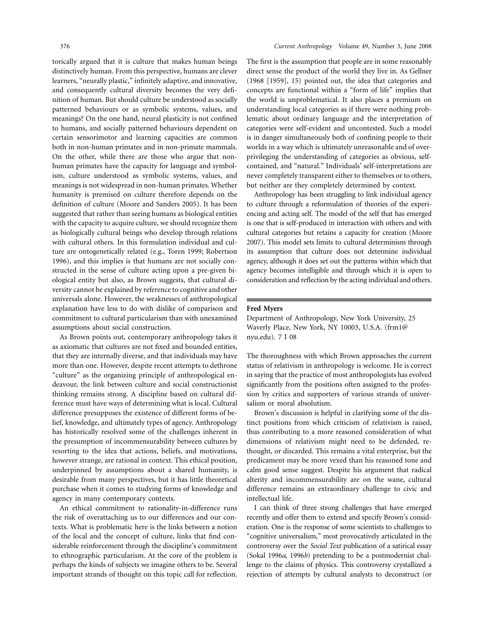torically argued that it is culture that makes human beings distinctively human. From this perspective, humans are clever learners, "neurally plastic," infinitely adaptive, and innovative, and consequently cultural diversity becomes the very definition of human. But should culture be understood as socially patterned behaviours or as symbolic systems, values, and meanings? On the one hand, neural plasticity is not confined to humans, and socially patterned behaviours dependent on certain sensorimotor and learning capacities are common both in non-human primates and in non-primate mammals. On the other, while there are those who argue that nonhuman primates have the capacity for language and symbolism, culture understood as symbolic systems, values, and meanings is not widespread in non-human primates. Whether humanity is premised on culture therefore depends on the definition of culture (Moore and Sanders 2005). It has been suggested that rather than seeing humans as biological entities with the capacity to acquire culture, we should recognize them as biologically cultural beings who develop through relations with cultural others. In this formulation individual and culture are ontogenetically related (e.g., Toren 1999; Robertson 1996), and this implies is that humans are not socially constructed in the sense of culture acting upon a pre-given biological entity but also, as Brown suggests, that cultural diversity cannot be explained by reference to cognitive and other universals alone. However, the weaknesses of anthropological explanation have less to do with dislike of comparison and commitment to cultural particularism than with unexamined assumptions about social construction.

As Brown points out, contemporary anthropology takes it as axiomatic that cultures are not fixed and bounded entities, that they are internally diverse, and that individuals may have more than one. However, despite recent attempts to dethrone "culture" as the organizing principle of anthropological endeavour, the link between culture and social constructionist thinking remains strong. A discipline based on cultural difference must have ways of determining what is local. Cultural difference presupposes the existence of different forms of belief, knowledge, and ultimately types of agency. Anthropology has historically resolved some of the challenges inherent in the presumption of incommensurability between cultures by resorting to the idea that actions, beliefs, and motivations, however strange, are rational in context. This ethical position, underpinned by assumptions about a shared humanity, is desirable from many perspectives, but it has little theoretical purchase when it comes to studying forms of knowledge and agency in many contemporary contexts.

An ethical commitment to rationality-in-difference runs the risk of overattaching us to our differences and our contexts. What is problematic here is the links between a notion of the local and the concept of culture, links that find considerable reinforcement through the discipline's commitment to ethnographic particularism. At the core of the problem is perhaps the kinds of subjects we imagine others to be. Several important strands of thought on this topic call for reflection.

The first is the assumption that people are in some reasonably direct sense the product of the world they live in. As Gellner (1968 [1959], 15) pointed out, the idea that categories and concepts are functional within a "form of life" implies that the world is unproblematical. It also places a premium on understanding local categories as if there were nothing problematic about ordinary language and the interpretation of categories were self-evident and uncontested. Such a model is in danger simultaneously both of confining people to their worlds in a way which is ultimately unreasonable and of overprivileging the understanding of categories as obvious, selfcontained, and "natural." Individuals' self-interpretations are never completely transparent either to themselves or to others, but neither are they completely determined by context.

Anthropology has been struggling to link individual agency to culture through a reformulation of theories of the experiencing and acting self. The model of the self that has emerged is one that is self-produced in interaction with others and with cultural categories but retains a capacity for creation (Moore 2007). This model sets limits to cultural determinism through its assumption that culture does not determine individual agency, although it does set out the patterns within which that agency becomes intelligible and through which it is open to consideration and reflection by the acting individual and others.

#### **Fred Myers**

Department of Anthropology, New York University, 25 Waverly Place, New York, NY 10003, U.S.A. (frm1@ nyu.edu). 7 I 08

The thoroughness with which Brown approaches the current status of relativism in anthropology is welcome. He is correct in saying that the practice of most anthropologists has evolved significantly from the positions often assigned to the profession by critics and supporters of various strands of universalism or moral absolutism.

Brown's discussion is helpful in clarifying some of the distinct positions from which criticism of relativism is raised, thus contributing to a more reasoned consideration of what dimensions of relativism might need to be defended, rethought, or discarded. This remains a vital enterprise, but the predicament may be more vexed than his reasoned tone and calm good sense suggest. Despite his argument that radical alterity and incommensurability are on the wane, cultural difference remains an extraordinary challenge to civic and intellectual life.

I can think of three strong challenges that have emerged recently and offer them to extend and specify Brown's consideration. One is the response of some scientists to challenges to "cognitive universalism," most provocatively articulated in the controversy over the *Social Text* publication of a satirical essay (Sokal 1996*a*, 1996*b*) pretending to be a postmodernist challenge to the claims of physics. This controversy crystallized a rejection of attempts by cultural analysts to deconstruct (or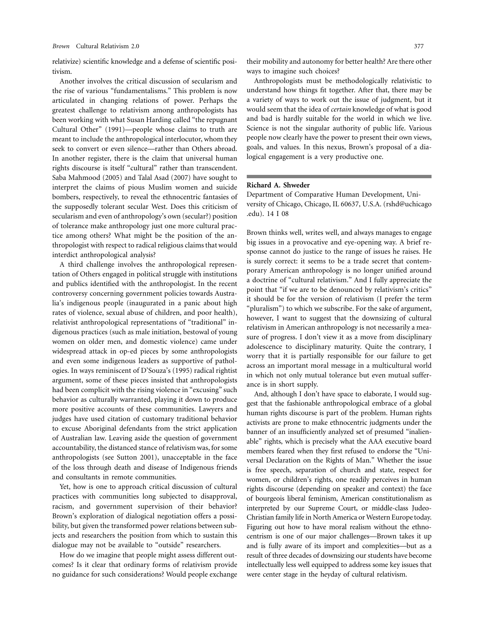relativize) scientific knowledge and a defense of scientific positivism.

Another involves the critical discussion of secularism and the rise of various "fundamentalisms." This problem is now articulated in changing relations of power. Perhaps the greatest challenge to relativism among anthropologists has been working with what Susan Harding called "the repugnant Cultural Other" (1991)—people whose claims to truth are meant to include the anthropological interlocutor, whom they seek to convert or even silence—rather than Others abroad. In another register, there is the claim that universal human rights discourse is itself "cultural" rather than transcendent. Saba Mahmood (2005) and Talal Asad (2007) have sought to interpret the claims of pious Muslim women and suicide bombers, respectively, to reveal the ethnocentric fantasies of the supposedly tolerant secular West. Does this criticism of secularism and even of anthropology's own (secular?) position of tolerance make anthropology just one more cultural practice among others? What might be the position of the anthropologist with respect to radical religious claims that would interdict anthropological analysis?

A third challenge involves the anthropological representation of Others engaged in political struggle with institutions and publics identified with the anthropologist. In the recent controversy concerning government policies towards Australia's indigenous people (inaugurated in a panic about high rates of violence, sexual abuse of children, and poor health), relativist anthropological representations of "traditional" indigenous practices (such as male initiation, bestowal of young women on older men, and domestic violence) came under widespread attack in op-ed pieces by some anthropologists and even some indigenous leaders as supportive of pathologies. In ways reminiscent of D'Souza's (1995) radical rightist argument, some of these pieces insisted that anthropologists had been complicit with the rising violence in "excusing" such behavior as culturally warranted, playing it down to produce more positive accounts of these communities. Lawyers and judges have used citation of customary traditional behavior to excuse Aboriginal defendants from the strict application of Australian law. Leaving aside the question of government accountability, the distanced stance of relativism was, for some anthropologists (see Sutton 2001), unacceptable in the face of the loss through death and disease of Indigenous friends and consultants in remote communities.

Yet, how is one to approach critical discussion of cultural practices with communities long subjected to disapproval, racism, and government supervision of their behavior? Brown's exploration of dialogical negotiation offers a possibility, but given the transformed power relations between subjects and researchers the position from which to sustain this dialogue may not be available to "outside" researchers.

How do we imagine that people might assess different outcomes? Is it clear that ordinary forms of relativism provide no guidance for such considerations? Would people exchange their mobility and autonomy for better health? Are there other ways to imagine such choices?

Anthropologists must be methodologically relativistic to understand how things fit together. After that, there may be a variety of ways to work out the issue of judgment, but it would seem that the idea of *certain* knowledge of what is good and bad is hardly suitable for the world in which we live. Science is not the singular authority of public life. Various people now clearly have the power to present their own views, goals, and values. In this nexus, Brown's proposal of a dialogical engagement is a very productive one.

#### **Richard A. Shweder**

Department of Comparative Human Development, University of Chicago, Chicago, IL 60637, U.S.A. (rshd@uchicago .edu). 14 I 08

Brown thinks well, writes well, and always manages to engage big issues in a provocative and eye-opening way. A brief response cannot do justice to the range of issues he raises. He is surely correct: it seems to be a trade secret that contemporary American anthropology is no longer unified around a doctrine of "cultural relativism." And I fully appreciate the point that "if we are to be denounced by relativism's critics" it should be for the version of relativism (I prefer the term "pluralism") to which we subscribe. For the sake of argument, however, I want to suggest that the downsizing of cultural relativism in American anthropology is not necessarily a measure of progress. I don't view it as a move from disciplinary adolescence to disciplinary maturity. Quite the contrary, I worry that it is partially responsible for our failure to get across an important moral message in a multicultural world in which not only mutual tolerance but even mutual sufferance is in short supply.

And, although I don't have space to elaborate, I would suggest that the fashionable anthropological embrace of a global human rights discourse is part of the problem. Human rights activists are prone to make ethnocentric judgments under the banner of an insufficiently analyzed set of presumed "inalienable" rights, which is precisely what the AAA executive board members feared when they first refused to endorse the "Universal Declaration on the Rights of Man." Whether the issue is free speech, separation of church and state, respect for women, or children's rights, one readily perceives in human rights discourse (depending on speaker and context) the face of bourgeois liberal feminism, American constitutionalism as interpreted by our Supreme Court, or middle-class Judeo-Christian family life in North America or Western Europe today. Figuring out how to have moral realism without the ethnocentrism is one of our major challenges—Brown takes it up and is fully aware of its import and complexities—but as a result of three decades of downsizing our students have become intellectually less well equipped to address some key issues that were center stage in the heyday of cultural relativism.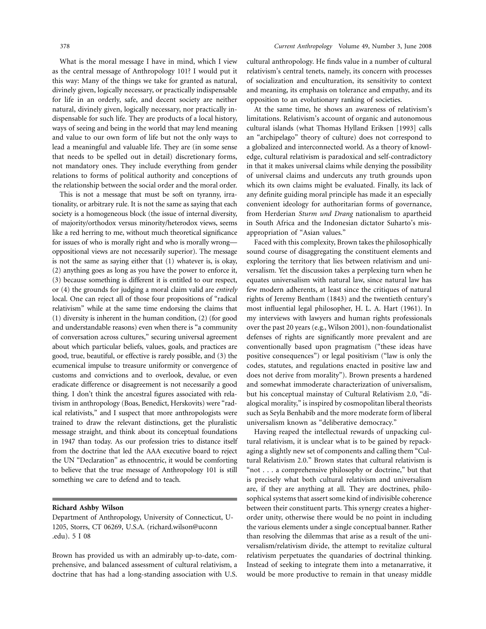What is the moral message I have in mind, which I view as the central message of Anthropology 101? I would put it this way: Many of the things we take for granted as natural, divinely given, logically necessary, or practically indispensable for life in an orderly, safe, and decent society are neither natural, divinely given, logically necessary, nor practically indispensable for such life. They are products of a local history, ways of seeing and being in the world that may lend meaning and value to our own form of life but not the only ways to lead a meaningful and valuable life. They are (in some sense that needs to be spelled out in detail) discretionary forms, not mandatory ones. They include everything from gender relations to forms of political authority and conceptions of the relationship between the social order and the moral order.

This is not a message that must be soft on tyranny, irrationality, or arbitrary rule. It is not the same as saying that each society is a homogeneous block (the issue of internal diversity, of majority/orthodox versus minority/heterodox views, seems like a red herring to me, without much theoretical significance for issues of who is morally right and who is morally wrong oppositional views are not necessarily superior). The message is not the same as saying either that (1) whatever is, is okay, (2) anything goes as long as you have the power to enforce it, (3) because something is different it is entitled to our respect, or (4) the grounds for judging a moral claim valid are *entirely* local. One can reject all of those four propositions of "radical relativism" while at the same time endorsing the claims that (1) diversity is inherent in the human condition, (2) (for good and understandable reasons) even when there is "a community of conversation across cultures," securing universal agreement about which particular beliefs, values, goals, and practices are good, true, beautiful, or effective is rarely possible, and (3) the ecumenical impulse to treasure uniformity or convergence of customs and convictions and to overlook, devalue, or even eradicate difference or disagreement is not necessarily a good thing. I don't think the ancestral figures associated with relativism in anthropology (Boas, Benedict, Herskovits) were "radical relativists," and I suspect that more anthropologists were trained to draw the relevant distinctions, get the pluralistic message straight, and think about its conceptual foundations in 1947 than today. As our profession tries to distance itself from the doctrine that led the AAA executive board to reject the UN "Declaration" as ethnocentric, it would be comforting to believe that the true message of Anthropology 101 is still something we care to defend and to teach.

#### **Richard Ashby Wilson**

Department of Anthropology, University of Connecticut, U-1205, Storrs, CT 06269, U.S.A. (richard.wilson@uconn .edu). 5 I 08

Brown has provided us with an admirably up-to-date, comprehensive, and balanced assessment of cultural relativism, a doctrine that has had a long-standing association with U.S. cultural anthropology. He finds value in a number of cultural relativism's central tenets, namely, its concern with processes of socialization and enculturation, its sensitivity to context and meaning, its emphasis on tolerance and empathy, and its opposition to an evolutionary ranking of societies.

At the same time, he shows an awareness of relativism's limitations. Relativism's account of organic and autonomous cultural islands (what Thomas Hylland Eriksen [1993] calls an "archipelago" theory of culture) does not correspond to a globalized and interconnected world. As a theory of knowledge, cultural relativism is paradoxical and self-contradictory in that it makes universal claims while denying the possibility of universal claims and undercuts any truth grounds upon which its own claims might be evaluated. Finally, its lack of any definite guiding moral principle has made it an especially convenient ideology for authoritarian forms of governance, from Herderian *Sturm und Drang* nationalism to apartheid in South Africa and the Indonesian dictator Suharto's misappropriation of "Asian values."

Faced with this complexity, Brown takes the philosophically sound course of disaggregating the constituent elements and exploring the territory that lies between relativism and universalism. Yet the discussion takes a perplexing turn when he equates universalism with natural law, since natural law has few modern adherents, at least since the critiques of natural rights of Jeremy Bentham (1843) and the twentieth century's most influential legal philosopher, H. L. A. Hart (1961). In my interviews with lawyers and human rights professionals over the past 20 years (e.g., Wilson 2001), non-foundationalist defenses of rights are significantly more prevalent and are conventionally based upon pragmatism ("these ideas have positive consequences") or legal positivism ("law is only the codes, statutes, and regulations enacted in positive law and does not derive from morality"). Brown presents a hardened and somewhat immoderate characterization of universalism, but his conceptual mainstay of Cultural Relativism 2.0, "dialogical morality," is inspired by cosmopolitan liberal theorists such as Seyla Benhabib and the more moderate form of liberal universalism known as "deliberative democracy."

Having reaped the intellectual rewards of unpacking cultural relativism, it is unclear what is to be gained by repackaging a slightly new set of components and calling them "Cultural Relativism 2.0." Brown states that cultural relativism is "not . . . a comprehensive philosophy or doctrine," but that is precisely what both cultural relativism and universalism are, if they are anything at all. They are doctrines, philosophical systems that assert some kind of indivisible coherence between their constituent parts. This synergy creates a higherorder unity, otherwise there would be no point in including the various elements under a single conceptual banner. Rather than resolving the dilemmas that arise as a result of the universalism/relativism divide, the attempt to revitalize cultural relativism perpetuates the quandaries of doctrinal thinking. Instead of seeking to integrate them into a metanarrative, it would be more productive to remain in that uneasy middle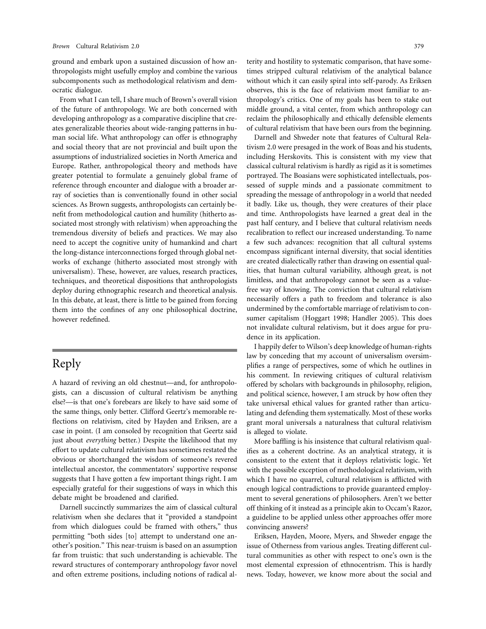ground and embark upon a sustained discussion of how anthropologists might usefully employ and combine the various subcomponents such as methodological relativism and democratic dialogue.

From what I can tell, I share much of Brown's overall vision of the future of anthropology. We are both concerned with developing anthropology as a comparative discipline that creates generalizable theories about wide-ranging patterns in human social life. What anthropology can offer is ethnography and social theory that are not provincial and built upon the assumptions of industrialized societies in North America and Europe. Rather, anthropological theory and methods have greater potential to formulate a genuinely global frame of reference through encounter and dialogue with a broader array of societies than is conventionally found in other social sciences. As Brown suggests, anthropologists can certainly benefit from methodological caution and humility (hitherto associated most strongly with relativism) when approaching the tremendous diversity of beliefs and practices. We may also need to accept the cognitive unity of humankind and chart the long-distance interconnections forged through global networks of exchange (hitherto associated most strongly with universalism). These, however, are values, research practices, techniques, and theoretical dispositions that anthropologists deploy during ethnographic research and theoretical analysis. In this debate, at least, there is little to be gained from forcing them into the confines of any one philosophical doctrine, however redefined.

# Reply

A hazard of reviving an old chestnut—and, for anthropologists, can a discussion of cultural relativism be anything else?—is that one's forebears are likely to have said some of the same things, only better. Clifford Geertz's memorable reflections on relativism, cited by Hayden and Eriksen, are a case in point. (I am consoled by recognition that Geertz said just about *everything* better.) Despite the likelihood that my effort to update cultural relativism has sometimes restated the obvious or shortchanged the wisdom of someone's revered intellectual ancestor, the commentators' supportive response suggests that I have gotten a few important things right. I am especially grateful for their suggestions of ways in which this debate might be broadened and clarified.

Darnell succinctly summarizes the aim of classical cultural relativism when she declares that it "provided a standpoint from which dialogues could be framed with others," thus permitting "both sides [to] attempt to understand one another's position." This near-truism is based on an assumption far from truistic: that such understanding is achievable. The reward structures of contemporary anthropology favor novel and often extreme positions, including notions of radical alterity and hostility to systematic comparison, that have sometimes stripped cultural relativism of the analytical balance without which it can easily spiral into self-parody. As Eriksen observes, this is the face of relativism most familiar to anthropology's critics. One of my goals has been to stake out middle ground, a vital center, from which anthropology can reclaim the philosophically and ethically defensible elements of cultural relativism that have been ours from the beginning.

Darnell and Shweder note that features of Cultural Relativism 2.0 were presaged in the work of Boas and his students, including Herskovits. This is consistent with my view that classical cultural relativism is hardly as rigid as it is sometimes portrayed. The Boasians were sophisticated intellectuals, possessed of supple minds and a passionate commitment to spreading the message of anthropology in a world that needed it badly. Like us, though, they were creatures of their place and time. Anthropologists have learned a great deal in the past half century, and I believe that cultural relativism needs recalibration to reflect our increased understanding. To name a few such advances: recognition that all cultural systems encompass significant internal diversity, that social identities are created dialectically rather than drawing on essential qualities, that human cultural variability, although great, is not limitless, and that anthropology cannot be seen as a valuefree way of knowing. The conviction that cultural relativism necessarily offers a path to freedom and tolerance is also undermined by the comfortable marriage of relativism to consumer capitalism (Hoggart 1998; Handler 2005). This does not invalidate cultural relativism, but it does argue for prudence in its application.

I happily defer to Wilson's deep knowledge of human-rights law by conceding that my account of universalism oversimplifies a range of perspectives, some of which he outlines in his comment. In reviewing critiques of cultural relativism offered by scholars with backgrounds in philosophy, religion, and political science, however, I am struck by how often they take universal ethical values for granted rather than articulating and defending them systematically. Most of these works grant moral universals a naturalness that cultural relativism is alleged to violate.

More baffling is his insistence that cultural relativism qualifies as a coherent doctrine. As an analytical strategy, it is consistent to the extent that it deploys relativistic logic. Yet with the possible exception of methodological relativism, with which I have no quarrel, cultural relativism is afflicted with enough logical contradictions to provide guaranteed employment to several generations of philosophers. Aren't we better off thinking of it instead as a principle akin to Occam's Razor, a guideline to be applied unless other approaches offer more convincing answers?

Eriksen, Hayden, Moore, Myers, and Shweder engage the issue of Otherness from various angles. Treating different cultural communities as other with respect to one's own is the most elemental expression of ethnocentrism. This is hardly news. Today, however, we know more about the social and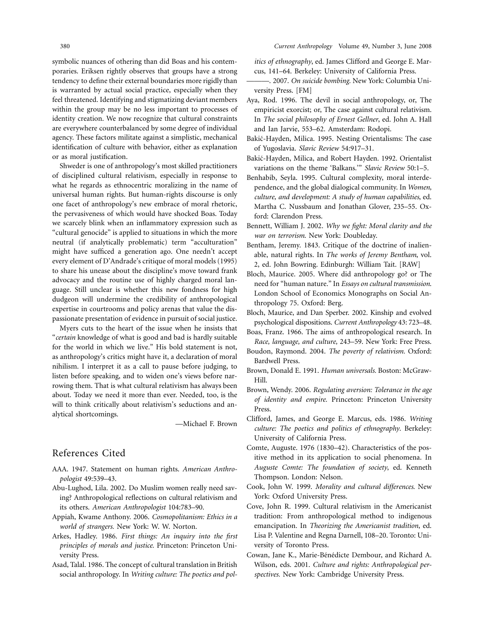symbolic nuances of othering than did Boas and his contemporaries. Eriksen rightly observes that groups have a strong tendency to define their external boundaries more rigidly than is warranted by actual social practice, especially when they feel threatened. Identifying and stigmatizing deviant members within the group may be no less important to processes of identity creation. We now recognize that cultural constraints are everywhere counterbalanced by some degree of individual agency. These factors militate against a simplistic, mechanical identification of culture with behavior, either as explanation or as moral justification.

Shweder is one of anthropology's most skilled practitioners of disciplined cultural relativism, especially in response to what he regards as ethnocentric moralizing in the name of universal human rights. But human-rights discourse is only one facet of anthropology's new embrace of moral rhetoric, the pervasiveness of which would have shocked Boas. Today we scarcely blink when an inflammatory expression such as "cultural genocide" is applied to situations in which the more neutral (if analytically problematic) term "acculturation" might have sufficed a generation ago. One needn't accept every element of D'Andrade's critique of moral models (1995) to share his unease about the discipline's move toward frank advocacy and the routine use of highly charged moral language. Still unclear is whether this new fondness for high dudgeon will undermine the credibility of anthropological expertise in courtrooms and policy arenas that value the dispassionate presentation of evidence in pursuit of social justice.

Myers cuts to the heart of the issue when he insists that "*certain* knowledge of what is good and bad is hardly suitable for the world in which we live." His bold statement is not, as anthropology's critics might have it, a declaration of moral nihilism. I interpret it as a call to pause before judging, to listen before speaking, and to widen one's views before narrowing them. That is what cultural relativism has always been about. Today we need it more than ever. Needed, too, is the will to think critically about relativism's seductions and analytical shortcomings.

—Michael F. Brown

## References Cited

- AAA. 1947. Statement on human rights. *American Anthropologist* 49:539–43.
- Abu-Lughod, Lila. 2002. Do Muslim women really need saving? Anthropological reflections on cultural relativism and its others. *American Anthropologist* 104:783–90.
- Appiah, Kwame Anthony. 2006. *Cosmopolitanism: Ethics in a world of strangers.* New York: W. W. Norton.
- Arkes, Hadley. 1986. *First things: An inquiry into the first principles of morals and justice.* Princeton: Princeton University Press.
- Asad, Talal. 1986. The concept of cultural translation in British social anthropology. In *Writing culture: The poetics and pol-*

*itics of ethnography*, ed. James Clifford and George E. Marcus, 141–64. Berkeley: University of California Press.

- ———. 2007. *On suicide bombing.* New York: Columbia University Press. [FM]
- Aya, Rod. 1996. The devil in social anthropology, or, The empiricist exorcist; or, The case against cultural relativism. In *The social philosophy of Ernest Gellner*, ed. John A. Hall and Ian Jarvie, 553–62. Amsterdam: Rodopi.
- Bakić-Hayden, Milica. 1995. Nesting Orientalisms: The case of Yugoslavia. *Slavic Review* 54:917–31.
- Bakić-Hayden, Milica, and Robert Hayden. 1992. Orientalist variations on the theme 'Balkans.'" *Slavic Review* 50:1–5.
- Benhabib, Seyla. 1995. Cultural complexity, moral interdependence, and the global dialogical community. In *Women, culture, and development: A study of human capabilities*, ed. Martha C. Nussbaum and Jonathan Glover, 235–55. Oxford: Clarendon Press.
- Bennett, William J. 2002. *Why we fight: Moral clarity and the war on terrorism*. New York: Doubleday.
- Bentham, Jeremy. 1843. Critique of the doctrine of inalienable, natural rights. In *The works of Jeremy Bentham*, vol. 2, ed. John Bowring. Edinburgh: William Tait. [RAW]
- Bloch, Maurice. 2005. Where did anthropology go? or The need for "human nature." In *Essays on cultural transmission*. London School of Economics Monographs on Social Anthropology 75. Oxford: Berg.
- Bloch, Maurice, and Dan Sperber. 2002. Kinship and evolved psychological dispositions. *Current Anthropology* 43: 723–48.
- Boas, Franz. 1966. The aims of anthropological research. In *Race, language, and culture,* 243–59. New York: Free Press.
- Boudon, Raymond. 2004. *The poverty of relativism.* Oxford: Bardwell Press.
- Brown, Donald E. 1991. *Human universals.* Boston: McGraw-Hill.
- Brown, Wendy. 2006. *Regulating aversion: Tolerance in the age of identity and empire.* Princeton: Princeton University Press.
- Clifford, James, and George E. Marcus, eds. 1986. *Writing culture: The poetics and politics of ethnography*. Berkeley: University of California Press.
- Comte, Auguste. 1976 (1830–42). Characteristics of the positive method in its application to social phenomena. In *Auguste Comte: The foundation of society*, ed. Kenneth Thompson. London: Nelson.
- Cook, John W. 1999. *Morality and cultural differences*. New York: Oxford University Press.
- Cove, John R. 1999. Cultural relativism in the Americanist tradition: From anthropological method to indigenous emancipation. In *Theorizing the Americanist tradition*, ed. Lisa P. Valentine and Regna Darnell, 108–20. Toronto: University of Toronto Press.
- Cowan, Jane K., Marie-Bénédicte Dembour, and Richard A. Wilson, eds. 2001. *Culture and rights: Anthropological perspectives.* New York: Cambridge University Press.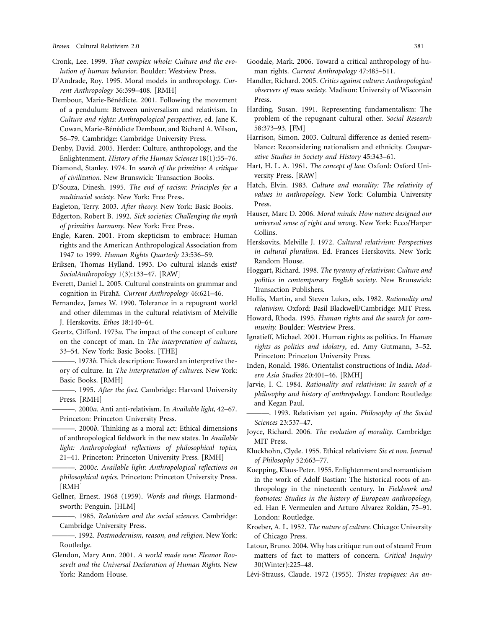- Cronk, Lee. 1999. *That complex whole: Culture and the evolution of human behavior*. Boulder: Westview Press.
- D'Andrade, Roy. 1995. Moral models in anthropology. *Current Anthropology* 36:399–408. [RMH]
- Dembour, Marie-Bénédicte. 2001. Following the movement of a pendulum: Between universalism and relativism. In *Culture and rights: Anthropological perspectives*, ed. Jane K. Cowan, Marie-Bénédicte Dembour, and Richard A. Wilson, 56–79. Cambridge: Cambridge University Press.
- Denby, David. 2005. Herder: Culture, anthropology, and the Enlightenment. *History of the Human Sciences* 18(1):55–76.
- Diamond, Stanley. 1974. In *search of the primitive: A critique of civilization.* New Brunswick: Transaction Books.
- D'Souza, Dinesh. 1995. *The end of racism: Principles for a multiracial society*. New York: Free Press.
- Eagleton, Terry. 2003. *After theory.* New York: Basic Books.
- Edgerton, Robert B. 1992. *Sick societies: Challenging the myth of primitive harmony*. New York: Free Press.
- Engle, Karen. 2001. From skepticism to embrace: Human rights and the American Anthropological Association from 1947 to 1999. *Human Rights Quarterly* 23:536–59.
- Eriksen, Thomas Hylland. 1993. Do cultural islands exist? *SocialAnthropology* 1(3):133–47. [RAW]
- Everett, Daniel L. 2005. Cultural constraints on grammar and cognition in Pirahã. *Current Anthropology* 46:621-46.
- Fernandez, James W. 1990. Tolerance in a repugnant world and other dilemmas in the cultural relativism of Melville J. Herskovits. *Ethos* 18:140–64.
- Geertz, Clifford. 1973*a*. The impact of the concept of culture on the concept of man. In *The interpretation of cultures*, 33–54. New York: Basic Books. [THE]
- ———. 1973*b*. Thick description: Toward an interpretive theory of culture. In *The interpretation of cultures*. New York: Basic Books. [RMH]
- ———. 1995. *After the fact.* Cambridge: Harvard University Press. [RMH]
- ———. 2000*a*. Anti anti-relativism. In *Available light*, 42–67. Princeton: Princeton University Press.
- ———. 2000*b*. Thinking as a moral act: Ethical dimensions of anthropological fieldwork in the new states. In *Available light: Anthropological reflections of philosophical topics*, 21–41. Princeton: Princeton University Press. [RMH]
- ———. 2000*c*. *Available light: Anthropological reflections on philosophical topics*. Princeton: Princeton University Press. [RMH]
- Gellner, Ernest. 1968 (1959). *Words and things*. Harmondsworth: Penguin. [HLM]
- ———. 1985. *Relativism and the social sciences.* Cambridge: Cambridge University Press.
- ———. 1992. *Postmodernism, reason, and religion.* New York: Routledge.
- Glendon, Mary Ann. 2001. *A world made new: Eleanor Roosevelt and the Universal Declaration of Human Rights.* New York: Random House.
- Goodale, Mark. 2006. Toward a critical anthropology of human rights. *Current Anthropology* 47:485–511.
- Handler, Richard. 2005. *Critics against culture: Anthropological observers of mass society*. Madison: University of Wisconsin Press.
- Harding, Susan. 1991. Representing fundamentalism: The problem of the repugnant cultural other. *Social Research* 58:373–93. [FM]
- Harrison, Simon. 2003. Cultural difference as denied resemblance: Reconsidering nationalism and ethnicity. *Comparative Studies in Society and History* 45:343–61.
- Hart, H. L. A. 1961. *The concept of law.* Oxford: Oxford University Press. [RAW]
- Hatch, Elvin. 1983. *Culture and morality: The relativity of values in anthropology*. New York: Columbia University Press.
- Hauser, Marc D. 2006. *Moral minds: How nature designed our universal sense of right and wrong*. New York: Ecco/Harper Collins.
- Herskovits, Melville J. 1972. *Cultural relativism: Perspectives in cultural pluralism.* Ed. Frances Herskovits. New York: Random House.
- Hoggart, Richard. 1998. *The tyranny of relativism: Culture and politics in contemporary English society*. New Brunswick: Transaction Publishers.
- Hollis, Martin, and Steven Lukes, eds. 1982. *Rationality and relativism.* Oxford: Basil Blackwell/Cambridge: MIT Press.
- Howard, Rhoda. 1995. *Human rights and the search for community.* Boulder: Westview Press.
- Ignatieff, Michael. 2001. Human rights as politics. In *Human rights as politics and idolatry*, ed. Amy Gutmann, 3–52. Princeton: Princeton University Press.
- Inden, Ronald. 1986. Orientalist constructions of India. *Modern Asia Studies* 20:401–46. [RMH]
- Jarvie, I. C. 1984. *Rationality and relativism: In search of a philosophy and history of anthropology*. London: Routledge and Kegan Paul.
- ———. 1993. Relativism yet again. *Philosophy of the Social Sciences* 23:537–47.
- Joyce, Richard. 2006. *The evolution of morality*. Cambridge: MIT Press.
- Kluckhohn, Clyde. 1955. Ethical relativism: *Sic et non*. *Journal of Philosophy* 52:663–77.
- Koepping, Klaus-Peter. 1955. Enlightenment and romanticism in the work of Adolf Bastian: The historical roots of anthropology in the nineteenth century. In *Fieldwork and footnotes: Studies in the history of European anthropology*, ed. Han F. Vermeulen and Arturo Alvarez Roldán, 75–91. London: Routledge.
- Kroeber, A. L. 1952. *The nature of culture*. Chicago: University of Chicago Press.
- Latour, Bruno. 2004. Why has critique run out of steam? From matters of fact to matters of concern. *Critical Inquiry* 30(Winter):225–48.
- Le´vi-Strauss, Claude. 1972 (1955). *Tristes tropiques: An an-*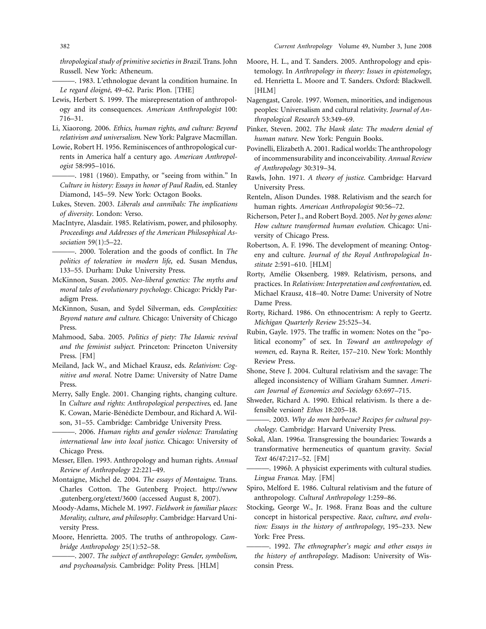*thropological study of primitive societies in Brazil*. Trans. John Russell. New York: Atheneum.

- ———. 1983. L'ethnologue devant la condition humaine. In Le regard éloigné, 49–62. Paris: Plon. [THE]
- Lewis, Herbert S. 1999. The misrepresentation of anthropology and its consequences. *American Anthropologist* 100: 716–31.
- Li, Xiaorong. 2006. *Ethics, human rights, and culture: Beyond relativism and universalism*. New York: Palgrave Macmillan.
- Lowie, Robert H. 1956. Reminiscences of anthropological currents in America half a century ago. *American Anthropologist* 58:995–1016.
- ———. 1981 (1960). Empathy, or "seeing from within." In *Culture in history: Essays in honor of Paul Radin*, ed. Stanley Diamond, 145–59. New York: Octagon Books.
- Lukes, Steven. 2003. *Liberals and cannibals: The implications of diversity*. London: Verso.
- MacIntyre, Alasdair. 1985. Relativism, power, and philosophy. *Proceedings and Addresses of the American Philosophical Association* 59(1):5–22.
- ———. 2000. Toleration and the goods of conflict. In *The politics of toleration in modern life*, ed. Susan Mendus, 133–55. Durham: Duke University Press.
- McKinnon, Susan. 2005. *Neo-liberal genetics: The myths and moral tales of evolutionary psychology*. Chicago: Prickly Paradigm Press.
- McKinnon, Susan, and Sydel Silverman, eds. *Complexities: Beyond nature and culture*. Chicago: University of Chicago Press.
- Mahmood, Saba. 2005. *Politics of piety: The Islamic revival and the feminist subject*. Princeton: Princeton University Press. [FM]
- Meiland, Jack W., and Michael Krausz, eds. *Relativism: Cognitive and moral.* Notre Dame: University of Natre Dame Press.
- Merry, Sally Engle. 2001. Changing rights, changing culture. In *Culture and rights: Anthropological perspectives*, ed. Jane K. Cowan, Marie-Bénédicte Dembour, and Richard A. Wilson, 31–55. Cambridge: Cambridge University Press.
- ———. 2006. *Human rights and gender violence: Translating international law into local justice*. Chicago: University of Chicago Press.
- Messer, Ellen. 1993. Anthropology and human rights. *Annual Review of Anthropology* 22:221–49.
- Montaigne, Michel de. 2004. *The essays of Montaigne*. Trans. Charles Cotton. The Gutenberg Project. http://www .gutenberg.org/etext/3600 (accessed August 8, 2007).
- Moody-Adams, Michele M. 1997. *Fieldwork in familiar places: Morality, culture, and philosophy*. Cambridge: Harvard University Press.
- Moore, Henrietta. 2005. The truths of anthropology. *Cambridge Anthropology* 25(1):52–58.
	- ———. 2007. *The subject of anthropology: Gender, symbolism, and psychoanalysis*. Cambridge: Polity Press. [HLM]
- Moore, H. L., and T. Sanders. 2005. Anthropology and epistemology. In *Anthropology in theory: Issues in epistemology*, ed. Henrietta L. Moore and T. Sanders. Oxford: Blackwell. [HLM]
- Nagengast, Carole. 1997. Women, minorities, and indigenous peoples: Universalism and cultural relativity. *Journal of Anthropological Research* 53:349–69.
- Pinker, Steven. 2002. *The blank slate: The modern denial of human nature*. New York: Penguin Books.
- Povinelli, Elizabeth A. 2001. Radical worlds: The anthropology of incommensurability and inconceivability. *Annual Review of Anthropology* 30:319–34.
- Rawls, John. 1971. *A theory of justice.* Cambridge: Harvard University Press.
- Renteln, Alison Dundes. 1988. Relativism and the search for human rights. *American Anthropologist* 90:56–72.
- Richerson, Peter J., and Robert Boyd. 2005. *Not by genes alone: How culture transformed human evolution*. Chicago: University of Chicago Press.
- Robertson, A. F. 1996. The development of meaning: Ontogeny and culture. *Journal of the Royal Anthropological Institute* 2:591–610. [HLM]
- Rorty, Amélie Oksenberg. 1989. Relativism, persons, and practices. In *Relativism: Interpretation and confrontation*, ed. Michael Krausz, 418–40. Notre Dame: University of Notre Dame Press.
- Rorty, Richard. 1986. On ethnocentrism: A reply to Geertz. *Michigan Quarterly Review* 25:525–34.
- Rubin, Gayle. 1975. The traffic in women: Notes on the "political economy" of sex. In *Toward an anthropology of women*, ed. Rayna R. Reiter, 157–210. New York: Monthly Review Press.
- Shone, Steve J. 2004. Cultural relativism and the savage: The alleged inconsistency of William Graham Sumner. *American Journal of Economics and Sociology* 63:697–715.
- Shweder, Richard A. 1990. Ethical relativism. Is there a defensible version? *Ethos* 18:205–18.
- ———. 2003. *Why do men barbecue? Recipes for cultural psychology*. Cambridge: Harvard University Press.
- Sokal, Alan. 1996*a*. Transgressing the boundaries: Towards a transformative hermeneutics of quantum gravity. *Social Text* 46/47:217–52. [FM]
	- ———. 1996*b*. A physicist experiments with cultural studies. *Lingua Franca*. May. [FM]
- Spiro, Melford E. 1986. Cultural relativism and the future of anthropology. *Cultural Anthropology* 1:259–86.
- Stocking, George W., Jr. 1968. Franz Boas and the culture concept in historical perspective. *Race, culture, and evolution: Essays in the history of anthropology*, 195–233. New York: Free Press.
- ———. 1992. *The ethnographer's magic and other essays in the history of anthropology*. Madison: University of Wisconsin Press.